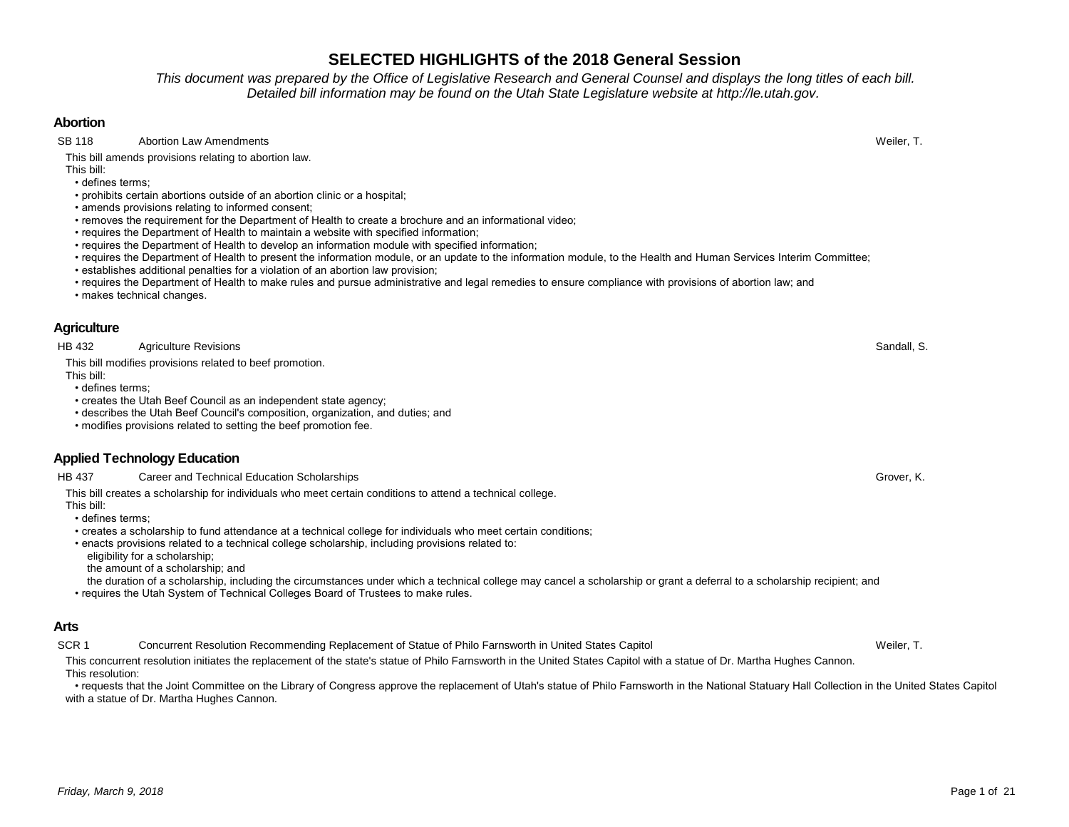# *Friday, March 9, 2018* Page 1 of 21

# **SELECTED HIGHLIGHTS of the 2018 General Session**

*This document was prepared by the Office of Legislative Research and General Counsel and displays the long titles of each bill. Detailed bill information may be found on the Utah State Legislature website at http://le.utah.gov.* 

### **Abortion**

SB 118 Abortion Law Amendments **Abortion Law Amendments** Weiler, T.

This bill amends provisions relating to abortion law.

This bill: • defines terms;

- prohibits certain abortions outside of an abortion clinic or a hospital;
- amends provisions relating to informed consent;
- removes the requirement for the Department of Health to create a brochure and an informational video;
- requires the Department of Health to maintain a website with specified information;
- requires the Department of Health to develop an information module with specified information;
- requires the Department of Health to present the information module, or an update to the information module, to the Health and Human Services Interim Committee;
- establishes additional penalties for a violation of an abortion law provision;
- requires the Department of Health to make rules and pursue administrative and legal remedies to ensure compliance with provisions of abortion law; and
- makes technical changes.

### **Agriculture**

HB 432 Agriculture Revisions Sandall, S.

This bill modifies provisions related to beef promotion.

This bill:

• defines terms;

- creates the Utah Beef Council as an independent state agency;
- describes the Utah Beef Council's composition, organization, and duties; and
- modifies provisions related to setting the beef promotion fee.

# **Applied Technology Education**

HB 437 Career and Technical Education Scholarships Grover, Career and Technical Education Scholarships Grover, K.

This bill creates a scholarship for individuals who meet certain conditions to attend a technical college.

This bill:

- defines terms;
- creates a scholarship to fund attendance at a technical college for individuals who meet certain conditions;
- enacts provisions related to a technical college scholarship, including provisions related to:
- eligibility for a scholarship;

the amount of a scholarship; and

- the duration of a scholarship, including the circumstances under which a technical college may cancel a scholarship or grant a deferral to a scholarship recipient; and
- requires the Utah System of Technical Colleges Board of Trustees to make rules.

# **Arts**

SCR 1 Concurrent Resolution Recommending Replacement of Statue of Philo Farnsworth in United States Capitol Weiler, T.

This concurrent resolution initiates the replacement of the state's statue of Philo Farnsworth in the United States Capitol with a statue of Dr. Martha Hughes Cannon. This resolution:

 • requests that the Joint Committee on the Library of Congress approve the replacement of Utah's statue of Philo Farnsworth in the National Statuary Hall Collection in the United States Capitol with a statue of Dr. Martha Hughes Cannon.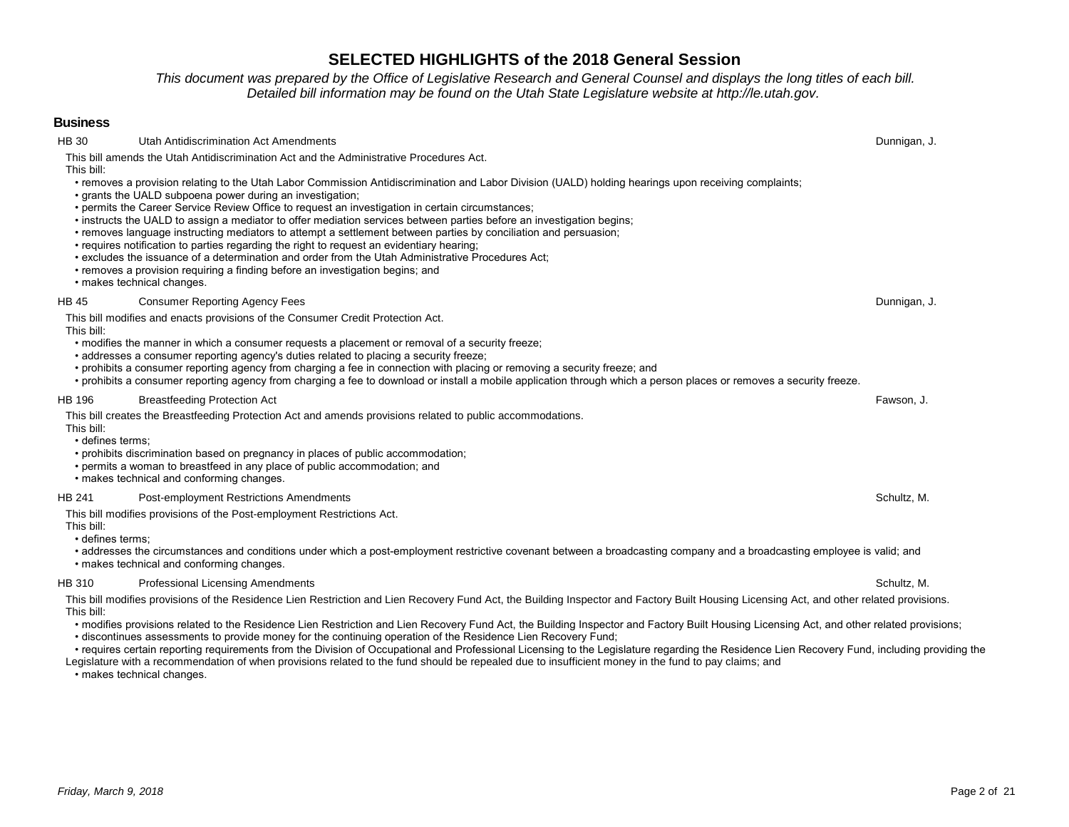*This document was prepared by the Office of Legislative Research and General Counsel and displays the long titles of each bill. Detailed bill information may be found on the Utah State Legislature website at http://le.utah.gov.* 

### **Business**

HB 30 Utah Antidiscrimination Act Amendments **Dunnigan, J.** Dunnigan, J. Dunnigan, J. Dunnigan, J. Dunnigan, J. Dunnigan, J. Dunnigan, J. Dunnigan, J. Dunnigan, J. Dunnigan, J. Dunnigan, J. Dunnigan, J. Dunnigan, J. Dunnig This bill amends the Utah Antidiscrimination Act and the Administrative Procedures Act.

This bill:

- removes a provision relating to the Utah Labor Commission Antidiscrimination and Labor Division (UALD) holding hearings upon receiving complaints;
- grants the UALD subpoena power during an investigation;
- permits the Career Service Review Office to request an investigation in certain circumstances;
- instructs the UALD to assign a mediator to offer mediation services between parties before an investigation begins;
- removes language instructing mediators to attempt a settlement between parties by conciliation and persuasion;
- requires notification to parties regarding the right to request an evidentiary hearing;
- excludes the issuance of a determination and order from the Utah Administrative Procedures Act;
- removes a provision requiring a finding before an investigation begins; and
- makes technical changes.

#### HB 45 Consumer Reporting Agency Fees Dunnigan, J.

This bill modifies and enacts provisions of the Consumer Credit Protection Act. This bill:

- modifies the manner in which a consumer requests a placement or removal of a security freeze;
- addresses a consumer reporting agency's duties related to placing a security freeze;
- prohibits a consumer reporting agency from charging a fee in connection with placing or removing a security freeze; and
- prohibits a consumer reporting agency from charging a fee to download or install a mobile application through which a person places or removes a security freeze.

# HB 196 Breastfeeding Protection Act Fawson, J.

This bill creates the Breastfeeding Protection Act and amends provisions related to public accommodations. This bill:

#### • defines terms;

- prohibits discrimination based on pregnancy in places of public accommodation;
- permits a woman to breastfeed in any place of public accommodation; and
- makes technical and conforming changes.

#### HB 241 Post-employment Restrictions Amendments **Schultz, M.** Schultz, M. Schultz, M. Schultz, M.

This bill modifies provisions of the Post-employment Restrictions Act.

This bill:

• defines terms;

• addresses the circumstances and conditions under which a post-employment restrictive covenant between a broadcasting company and a broadcasting employee is valid; and

• makes technical and conforming changes.

### HB 310 Professional Licensing Amendments **Schultz, M.** Schultz, M. Schultz, M. Schultz, M. Schultz, M. Schultz, M.

This bill modifies provisions of the Residence Lien Restriction and Lien Recovery Fund Act, the Building Inspector and Factory Built Housing Licensing Act, and other related provisions. This bill:

- modifies provisions related to the Residence Lien Restriction and Lien Recovery Fund Act, the Building Inspector and Factory Built Housing Licensing Act, and other related provisions;
- discontinues assessments to provide money for the continuing operation of the Residence Lien Recovery Fund;
- requires certain reporting requirements from the Division of Occupational and Professional Licensing to the Legislature regarding the Residence Lien Recovery Fund, including providing the Legislature with a recommendation of when provisions related to the fund should be repealed due to insufficient money in the fund to pay claims; and

• makes technical changes.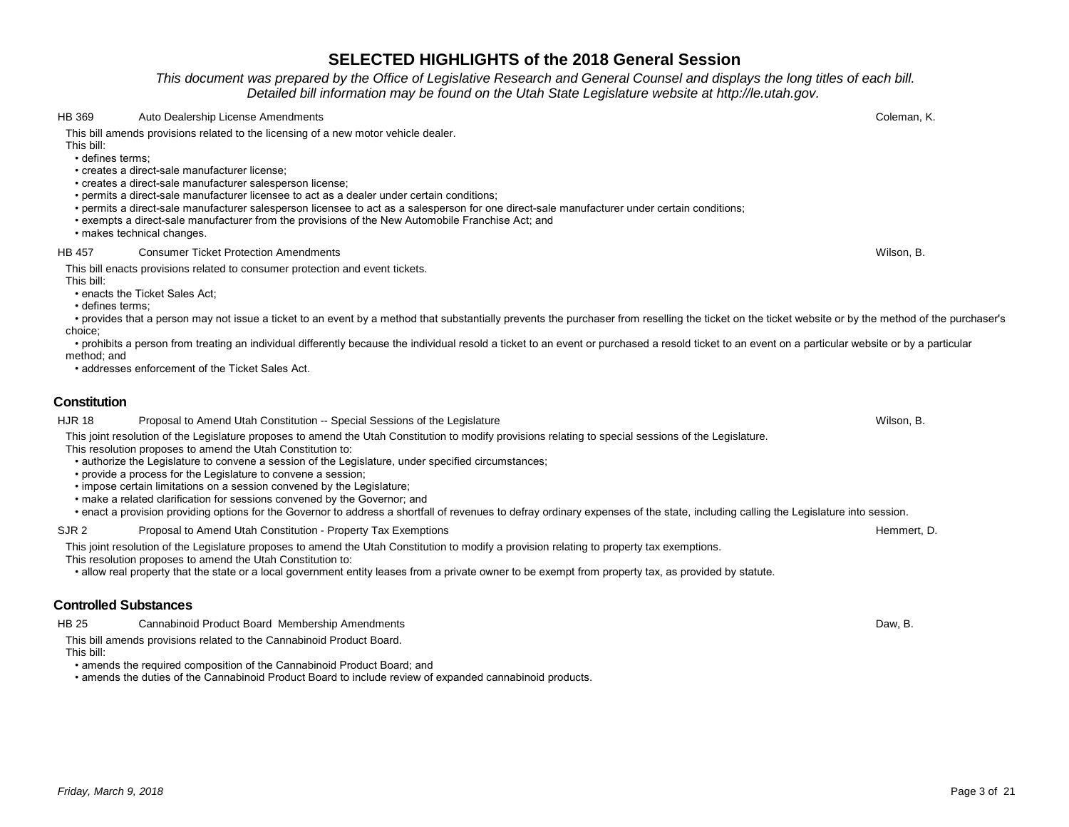*This document was prepared by the Office of Legislative Research and General Counsel and displays the long titles of each bill. Detailed bill information may be found on the Utah State Legislature website at http://le.utah.gov.* 

HB 369 Auto Dealership License Amendments Coleman, K.

This bill amends provisions related to the licensing of a new motor vehicle dealer.

This bill: • defines terms;

- creates a direct-sale manufacturer license;
- creates a direct-sale manufacturer salesperson license;
- permits a direct-sale manufacturer licensee to act as a dealer under certain conditions;
- permits a direct-sale manufacturer salesperson licensee to act as a salesperson for one direct-sale manufacturer under certain conditions;
- exempts a direct-sale manufacturer from the provisions of the New Automobile Franchise Act; and
- makes technical changes.

#### HB 457 Consumer Ticket Protection Amendments Wilson, B.

This bill enacts provisions related to consumer protection and event tickets.

This bill:

- enacts the Ticket Sales Act;
- defines terms;

 • provides that a person may not issue a ticket to an event by a method that substantially prevents the purchaser from reselling the ticket on the ticket website or by the method of the purchaser's choice;

• prohibits a person from treating an individual differently because the individual resold a ticket to an event or purchased a resold ticket to an event on a particular website or by a particular method; and

• addresses enforcement of the Ticket Sales Act.

### **Constitution**

HJR 18 Proposal to Amend Utah Constitution -- Special Sessions of the Legislature **Network of the Legislature** Wilson, B. This joint resolution of the Legislature proposes to amend the Utah Constitution to modify provisions relating to special sessions of the Legislature.

This resolution proposes to amend the Utah Constitution to:

- authorize the Legislature to convene a session of the Legislature, under specified circumstances;
- provide a process for the Legislature to convene a session;
- impose certain limitations on a session convened by the Legislature;
- make a related clarification for sessions convened by the Governor; and

• enact a provision providing options for the Governor to address a shortfall of revenues to defray ordinary expenses of the state, including calling the Legislature into session.

SJR 2 Proposal to Amend Utah Constitution - Property Tax Exemptions Hemmert, D. And The Music State Hemmert, D.

This joint resolution of the Legislature proposes to amend the Utah Constitution to modify a provision relating to property tax exemptions.

This resolution proposes to amend the Utah Constitution to:

• allow real property that the state or a local government entity leases from a private owner to be exempt from property tax, as provided by statute.

# **Controlled Substances**

HB 25 Cannabinoid Product Board Membership Amendments Daw, B.

This bill amends provisions related to the Cannabinoid Product Board.

This bill:

• amends the required composition of the Cannabinoid Product Board; and

• amends the duties of the Cannabinoid Product Board to include review of expanded cannabinoid products.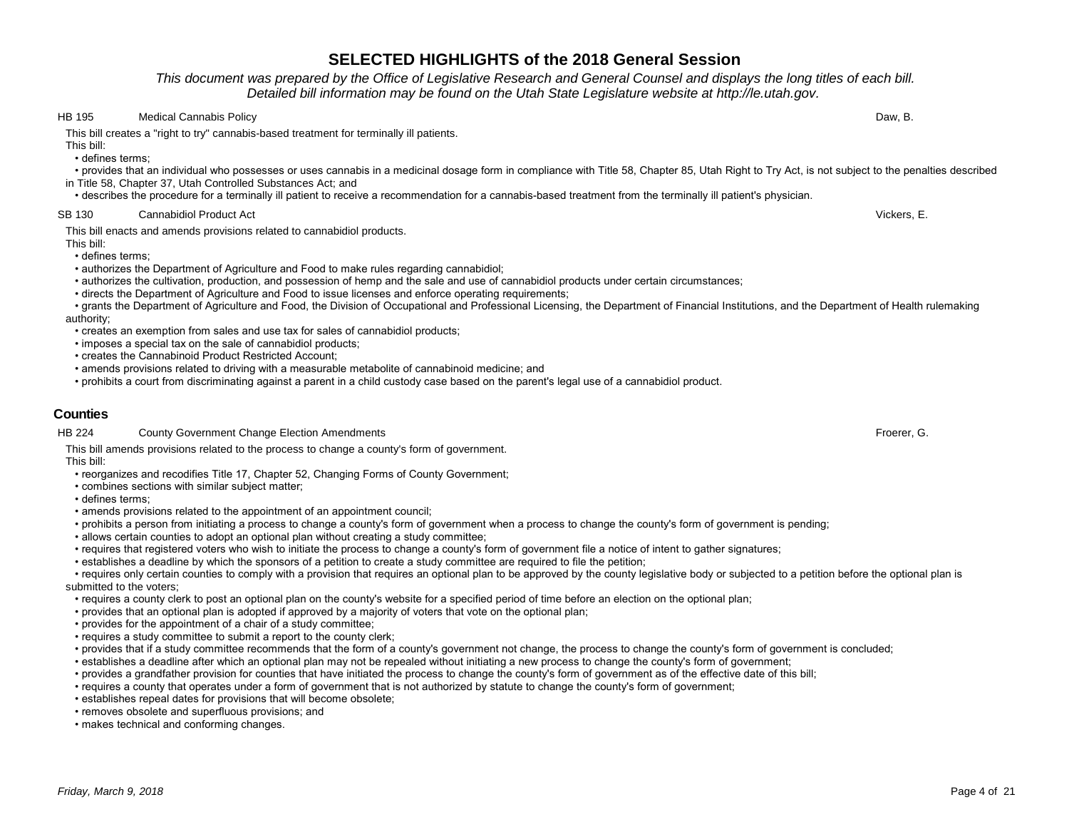### *This document was prepared by the Office of Legislative Research and General Counsel and displays the long titles of each bill. Detailed bill information may be found on the Utah State Legislature website at http://le.utah.gov.*

### HB 195 Medical Cannabis Policy Daw, B.

This bill creates a "right to try" cannabis-based treatment for terminally ill patients.

This bill:

• defines terms;

 • provides that an individual who possesses or uses cannabis in a medicinal dosage form in compliance with Title 58, Chapter 85, Utah Right to Try Act, is not subject to the penalties described in Title 58, Chapter 37, Utah Controlled Substances Act; and

• describes the procedure for a terminally ill patient to receive a recommendation for a cannabis-based treatment from the terminally ill patient's physician.

#### SB 130 Cannabidiol Product Act **Cannabidiol Product Act** Vickers, E.

This bill enacts and amends provisions related to cannabidiol products.

This bill:

• defines terms;

- authorizes the Department of Agriculture and Food to make rules regarding cannabidiol;
- authorizes the cultivation, production, and possession of hemp and the sale and use of cannabidiol products under certain circumstances;
- directs the Department of Agriculture and Food to issue licenses and enforce operating requirements;

 • grants the Department of Agriculture and Food, the Division of Occupational and Professional Licensing, the Department of Financial Institutions, and the Department of Health rulemaking authority;

- creates an exemption from sales and use tax for sales of cannabidiol products;
- imposes a special tax on the sale of cannabidiol products;
- creates the Cannabinoid Product Restricted Account;
- amends provisions related to driving with a measurable metabolite of cannabinoid medicine; and
- prohibits a court from discriminating against a parent in a child custody case based on the parent's legal use of a cannabidiol product.

### **Counties**

HB 224 County Government Change Election Amendments **Froedom County County County County Covernment** Change Election Amendments

This bill amends provisions related to the process to change a county's form of government. This bill:

- reorganizes and recodifies Title 17, Chapter 52, Changing Forms of County Government;
- combines sections with similar subject matter;
- defines terms;
- amends provisions related to the appointment of an appointment council;
- prohibits a person from initiating a process to change a county's form of government when a process to change the county's form of government is pending;
- allows certain counties to adopt an optional plan without creating a study committee;
- requires that registered voters who wish to initiate the process to change a county's form of government file a notice of intent to gather signatures;
- establishes a deadline by which the sponsors of a petition to create a study committee are required to file the petition;

 • requires only certain counties to comply with a provision that requires an optional plan to be approved by the county legislative body or subjected to a petition before the optional plan is submitted to the voters;

- requires a county clerk to post an optional plan on the county's website for a specified period of time before an election on the optional plan;
- provides that an optional plan is adopted if approved by a majority of voters that vote on the optional plan;
- provides for the appointment of a chair of a study committee;
- requires a study committee to submit a report to the county clerk;
- provides that if a study committee recommends that the form of a county's government not change, the process to change the county's form of government is concluded;
- establishes a deadline after which an optional plan may not be repealed without initiating a new process to change the county's form of government;
- provides a grandfather provision for counties that have initiated the process to change the county's form of government as of the effective date of this bill;
- requires a county that operates under a form of government that is not authorized by statute to change the county's form of government;
- establishes repeal dates for provisions that will become obsolete;
- removes obsolete and superfluous provisions; and
- makes technical and conforming changes.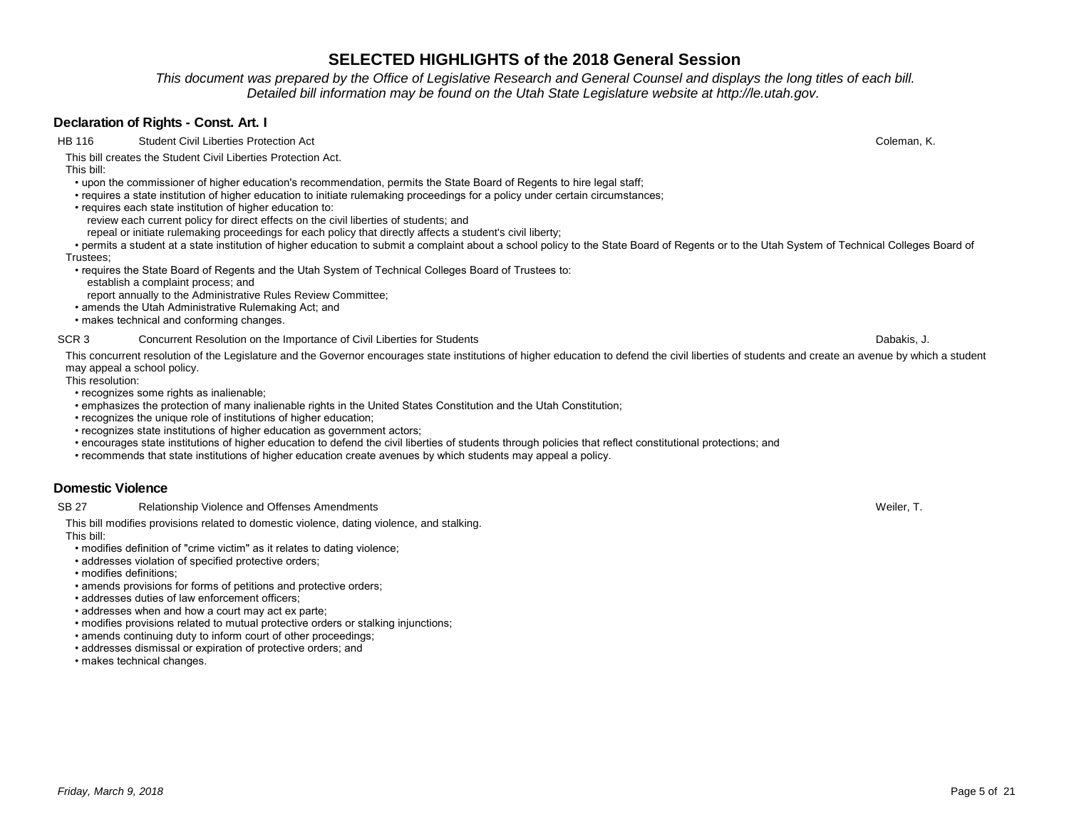*This document was prepared by the Office of Legislative Research and General Counsel and displays the long titles of each bill. Detailed bill information may be found on the Utah State Legislature website at http://le.utah.gov.* 

### **Declaration of Rights - Const. Art. I**

HB 116 Student Civil Liberties Protection Act Coleman, K. Coleman, K. Coleman, K.

This bill creates the Student Civil Liberties Protection Act.

This bill:

- upon the commissioner of higher education's recommendation, permits the State Board of Regents to hire legal staff;
- requires a state institution of higher education to initiate rulemaking proceedings for a policy under certain circumstances;
- requires each state institution of higher education to:
	- review each current policy for direct effects on the civil liberties of students; and
	- repeal or initiate rulemaking proceedings for each policy that directly affects a student's civil liberty;

 • permits a student at a state institution of higher education to submit a complaint about a school policy to the State Board of Regents or to the Utah System of Technical Colleges Board of Trustees;

- requires the State Board of Regents and the Utah System of Technical Colleges Board of Trustees to:
- establish a complaint process; and
- report annually to the Administrative Rules Review Committee;
- amends the Utah Administrative Rulemaking Act; and
- makes technical and conforming changes.

SCR 3 Concurrent Resolution on the Importance of Civil Liberties for Students Concurrent Resolution on the Importance of Civil Liberties for Students Concurrent Resolution on the Importance of Civil Liberties for Students

This concurrent resolution of the Legislature and the Governor encourages state institutions of higher education to defend the civil liberties of students and create an avenue by which a student may appeal a school policy.

This resolution:

- recognizes some rights as inalienable:
- emphasizes the protection of many inalienable rights in the United States Constitution and the Utah Constitution;
- recognizes the unique role of institutions of higher education;
- recognizes state institutions of higher education as government actors;
- encourages state institutions of higher education to defend the civil liberties of students through policies that reflect constitutional protections; and
- recommends that state institutions of higher education create avenues by which students may appeal a policy.

# **Domestic Violence**

SB 27 Relationship Violence and Offenses Amendments Weiler, T. and States and States Amendments Weiler, T.

This bill modifies provisions related to domestic violence, dating violence, and stalking. This bill:

- modifies definition of "crime victim" as it relates to dating violence;
- addresses violation of specified protective orders;
- modifies definitions;
- amends provisions for forms of petitions and protective orders;
- addresses duties of law enforcement officers;
- addresses when and how a court may act ex parte;
- modifies provisions related to mutual protective orders or stalking injunctions;
- amends continuing duty to inform court of other proceedings;
- addresses dismissal or expiration of protective orders; and
- makes technical changes.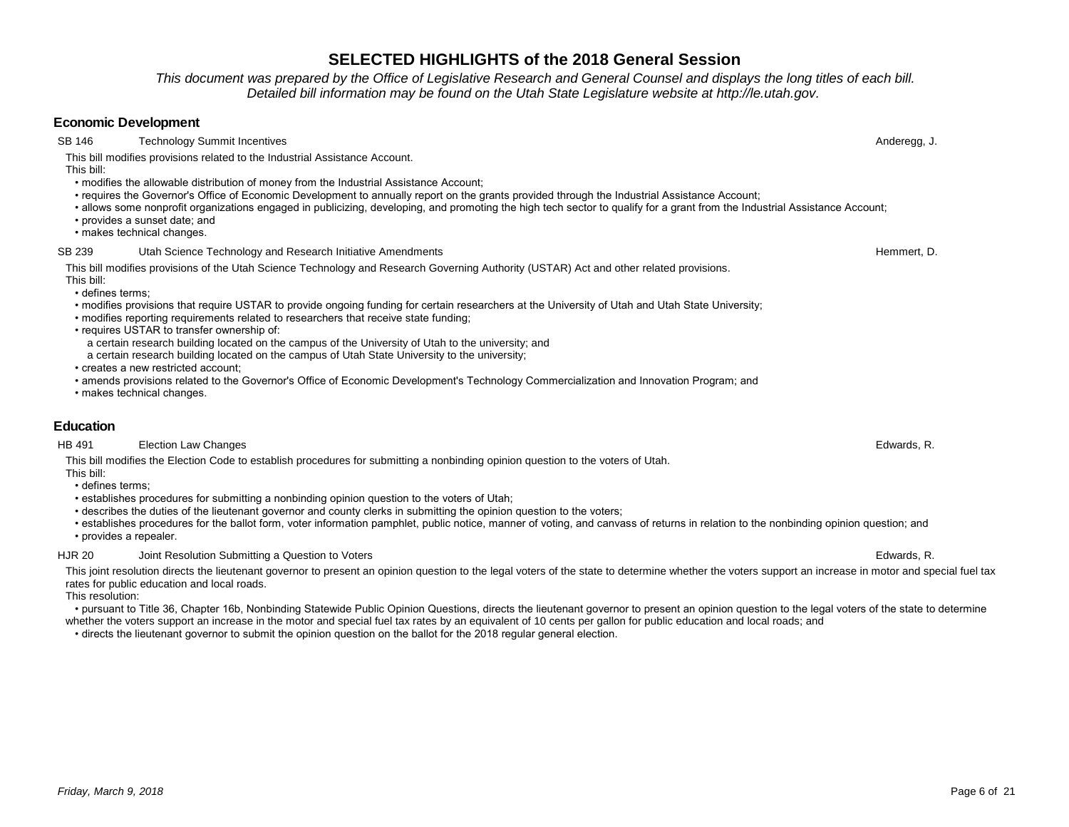*This document was prepared by the Office of Legislative Research and General Counsel and displays the long titles of each bill. Detailed bill information may be found on the Utah State Legislature website at http://le.utah.gov.* 

### **Economic Development**

SB 146 Technology Summit Incentives **Anderegg, J.** Anderegg, J.

This bill modifies provisions related to the Industrial Assistance Account.

This bill:

- modifies the allowable distribution of money from the Industrial Assistance Account;
- requires the Governor's Office of Economic Development to annually report on the grants provided through the Industrial Assistance Account;
- allows some nonprofit organizations engaged in publicizing, developing, and promoting the high tech sector to qualify for a grant from the Industrial Assistance Account;
- provides a sunset date; and
- makes technical changes.

#### SB 239 Utah Science Technology and Research Initiative Amendments Hemmert, D. Sales Hemmert, D.

This bill modifies provisions of the Utah Science Technology and Research Governing Authority (USTAR) Act and other related provisions.

This bill: • defines terms;

- modifies provisions that require USTAR to provide ongoing funding for certain researchers at the University of Utah and Utah State University;
- modifies reporting requirements related to researchers that receive state funding;
- requires USTAR to transfer ownership of:
- a certain research building located on the campus of the University of Utah to the university; and
- a certain research building located on the campus of Utah State University to the university;
- creates a new restricted account;
- amends provisions related to the Governor's Office of Economic Development's Technology Commercialization and Innovation Program; and
- makes technical changes.

### **Education**

#### HB 491 Election Law Changes Edwards, R.

This bill modifies the Election Code to establish procedures for submitting a nonbinding opinion question to the voters of Utah. This bill:

- defines terms;
- establishes procedures for submitting a nonbinding opinion question to the voters of Utah;
- describes the duties of the lieutenant governor and county clerks in submitting the opinion question to the voters;
- establishes procedures for the ballot form, voter information pamphlet, public notice, manner of voting, and canvass of returns in relation to the nonbinding opinion question; and • provides a repealer.

#### HJR 20 Joint Resolution Submitting a Question to Voters **Edwards, R.** And The State of Texas and The State of Texas and The Edwards, R.

This joint resolution directs the lieutenant governor to present an opinion question to the legal voters of the state to determine whether the voters support an increase in motor and special fuel tax rates for public education and local roads.

This resolution:

 • pursuant to Title 36, Chapter 16b, Nonbinding Statewide Public Opinion Questions, directs the lieutenant governor to present an opinion question to the legal voters of the state to determine whether the voters support an increase in the motor and special fuel tax rates by an equivalent of 10 cents per gallon for public education and local roads; and

• directs the lieutenant governor to submit the opinion question on the ballot for the 2018 regular general election.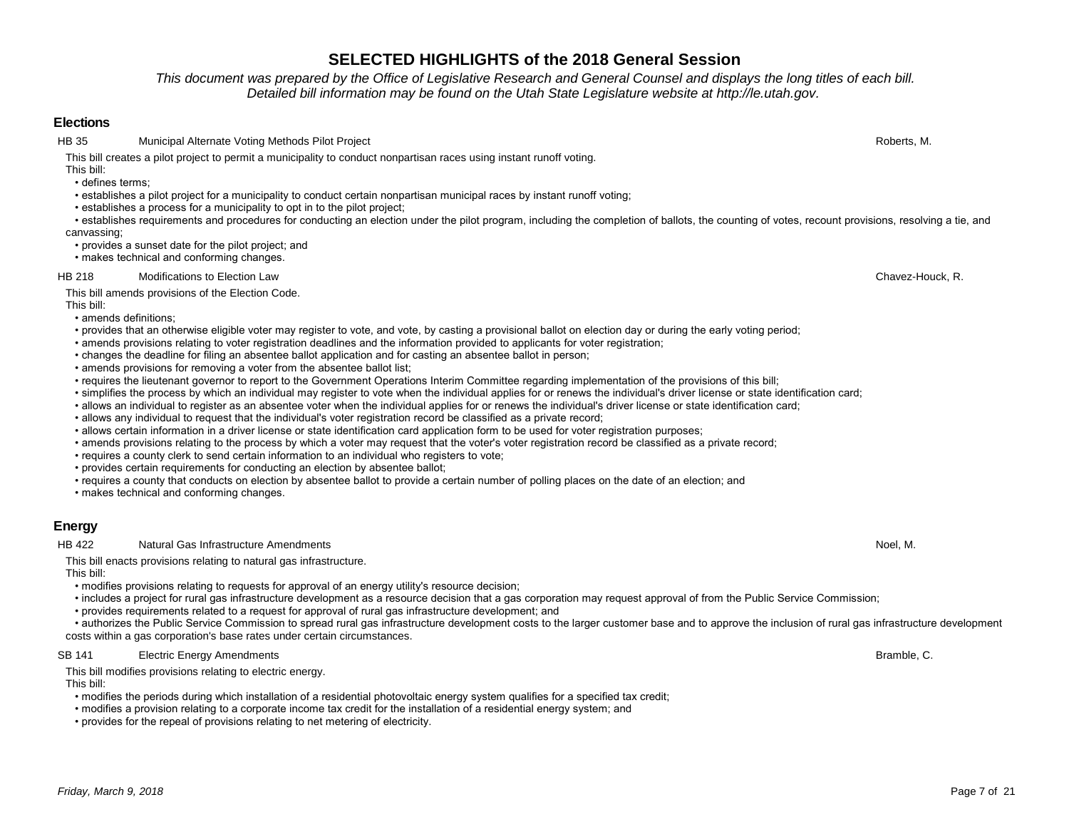# *Friday, March 9, 2018* Page 7 of 21

# **SELECTED HIGHLIGHTS of the 2018 General Session**

*This document was prepared by the Office of Legislative Research and General Counsel and displays the long titles of each bill. Detailed bill information may be found on the Utah State Legislature website at http://le.utah.gov.* 

### **Elections**

HB 35 Municipal Alternate Voting Methods Pilot Project Roberts, M. And The State Roberts, M. And The State Roberts, M.

This bill creates a pilot project to permit a municipality to conduct nonpartisan races using instant runoff voting.

This bill: • defines terms;

- establishes a pilot project for a municipality to conduct certain nonpartisan municipal races by instant runoff voting;
- establishes a process for a municipality to opt in to the pilot project;
- establishes requirements and procedures for conducting an election under the pilot program, including the completion of ballots, the counting of votes, recount provisions, resolving a tie, and canvassing;
- provides a sunset date for the pilot project; and
- makes technical and conforming changes.

### HB 218 Modifications to Election Law Chavez-Houck, R.

This bill amends provisions of the Election Code.

- This bill:
- amends definitions;
- provides that an otherwise eligible voter may register to vote, and vote, by casting a provisional ballot on election day or during the early voting period;
- amends provisions relating to voter registration deadlines and the information provided to applicants for voter registration;
- changes the deadline for filing an absentee ballot application and for casting an absentee ballot in person;
- amends provisions for removing a voter from the absentee ballot list;
- requires the lieutenant governor to report to the Government Operations Interim Committee regarding implementation of the provisions of this bill;
- simplifies the process by which an individual may register to vote when the individual applies for or renews the individual's driver license or state identification card;
- allows an individual to register as an absentee voter when the individual applies for or renews the individual's driver license or state identification card;
- allows any individual to request that the individual's voter registration record be classified as a private record;
- allows certain information in a driver license or state identification card application form to be used for voter registration purposes;
- amends provisions relating to the process by which a voter may request that the voter's voter registration record be classified as a private record;
- requires a county clerk to send certain information to an individual who registers to vote;
- provides certain requirements for conducting an election by absentee ballot;
- requires a county that conducts on election by absentee ballot to provide a certain number of polling places on the date of an election; and
- makes technical and conforming changes.

# **Energy**

HB 422 Natural Gas Infrastructure Amendments Noel, M.

This bill enacts provisions relating to natural gas infrastructure.

This bill:

- modifies provisions relating to requests for approval of an energy utility's resource decision;
- includes a project for rural gas infrastructure development as a resource decision that a gas corporation may request approval of from the Public Service Commission;
- provides requirements related to a request for approval of rural gas infrastructure development; and
- authorizes the Public Service Commission to spread rural gas infrastructure development costs to the larger customer base and to approve the inclusion of rural gas infrastructure development costs within a gas corporation's base rates under certain circumstances.

SB 141 Electric Energy Amendments **Bramble, C.** Electric Energy Amendments **Bramble, C.** Electric Energy Amendments

This bill modifies provisions relating to electric energy.

This bill:

- modifies the periods during which installation of a residential photovoltaic energy system qualifies for a specified tax credit;
- modifies a provision relating to a corporate income tax credit for the installation of a residential energy system; and
- provides for the repeal of provisions relating to net metering of electricity.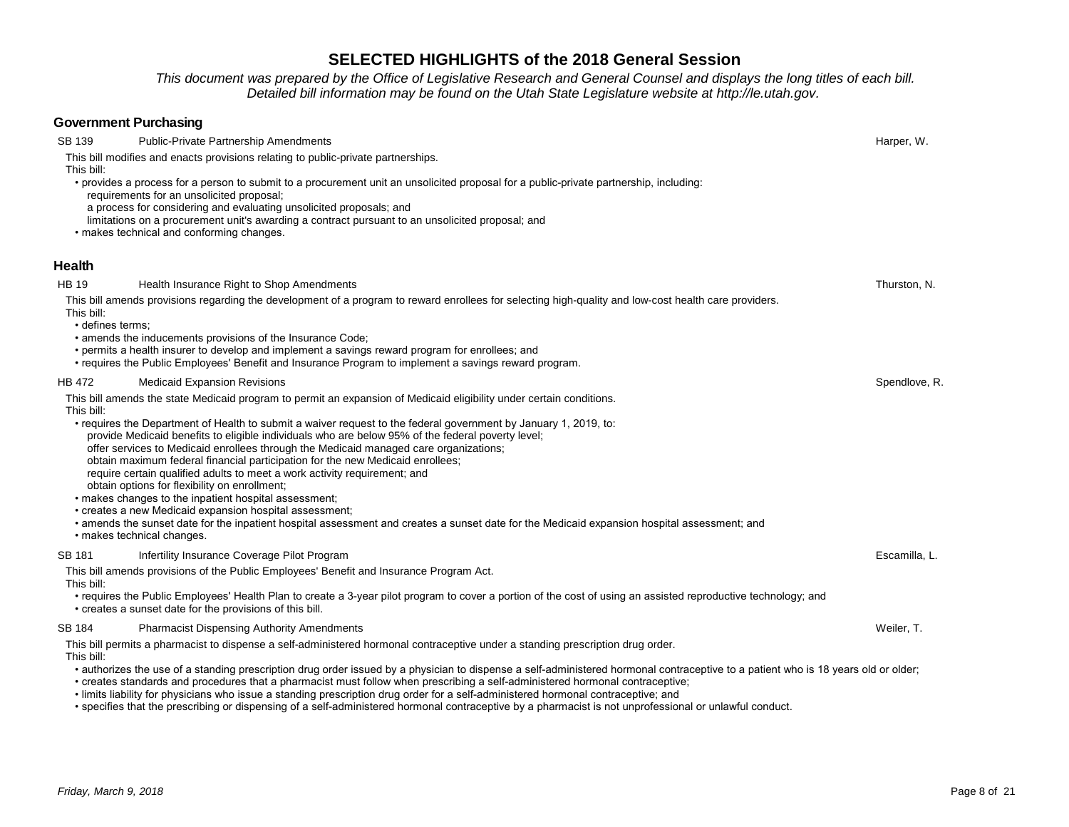*This document was prepared by the Office of Legislative Research and General Counsel and displays the long titles of each bill. Detailed bill information may be found on the Utah State Legislature website at http://le.utah.gov.* 

| <b>Government Purchasing</b>                   |                                                                                                                                                                                                                                                                                                                                                                                                                                                                                                                                                                                                                                                                                                                                                                                                                                                                                                                                                                                                 |               |
|------------------------------------------------|-------------------------------------------------------------------------------------------------------------------------------------------------------------------------------------------------------------------------------------------------------------------------------------------------------------------------------------------------------------------------------------------------------------------------------------------------------------------------------------------------------------------------------------------------------------------------------------------------------------------------------------------------------------------------------------------------------------------------------------------------------------------------------------------------------------------------------------------------------------------------------------------------------------------------------------------------------------------------------------------------|---------------|
| SB 139                                         | Public-Private Partnership Amendments                                                                                                                                                                                                                                                                                                                                                                                                                                                                                                                                                                                                                                                                                                                                                                                                                                                                                                                                                           | Harper, W.    |
| This bill:                                     | This bill modifies and enacts provisions relating to public-private partnerships.<br>• provides a process for a person to submit to a procurement unit an unsolicited proposal for a public-private partnership, including:<br>requirements for an unsolicited proposal;<br>a process for considering and evaluating unsolicited proposals; and<br>limitations on a procurement unit's awarding a contract pursuant to an unsolicited proposal; and<br>• makes technical and conforming changes.                                                                                                                                                                                                                                                                                                                                                                                                                                                                                                |               |
| Health                                         |                                                                                                                                                                                                                                                                                                                                                                                                                                                                                                                                                                                                                                                                                                                                                                                                                                                                                                                                                                                                 |               |
| <b>HB 19</b><br>This bill:<br>· defines terms; | Health Insurance Right to Shop Amendments<br>This bill amends provisions regarding the development of a program to reward enrollees for selecting high-quality and low-cost health care providers.<br>• amends the inducements provisions of the Insurance Code;<br>• permits a health insurer to develop and implement a savings reward program for enrollees; and<br>• requires the Public Employees' Benefit and Insurance Program to implement a savings reward program.                                                                                                                                                                                                                                                                                                                                                                                                                                                                                                                    | Thurston, N.  |
| <b>HB 472</b><br>This bill:                    | <b>Medicaid Expansion Revisions</b><br>This bill amends the state Medicaid program to permit an expansion of Medicaid eligibility under certain conditions.<br>• requires the Department of Health to submit a waiver request to the federal government by January 1, 2019, to:<br>provide Medicaid benefits to eligible individuals who are below 95% of the federal poverty level;<br>offer services to Medicaid enrollees through the Medicaid managed care organizations;<br>obtain maximum federal financial participation for the new Medicaid enrollees;<br>require certain qualified adults to meet a work activity requirement; and<br>obtain options for flexibility on enrollment;<br>• makes changes to the inpatient hospital assessment;<br>• creates a new Medicaid expansion hospital assessment;<br>· amends the sunset date for the inpatient hospital assessment and creates a sunset date for the Medicaid expansion hospital assessment; and<br>· makes technical changes. | Spendlove, R. |
| <b>SB 181</b><br>This bill:                    | Infertility Insurance Coverage Pilot Program<br>This bill amends provisions of the Public Employees' Benefit and Insurance Program Act.<br>• requires the Public Employees' Health Plan to create a 3-year pilot program to cover a portion of the cost of using an assisted reproductive technology; and<br>• creates a sunset date for the provisions of this bill.                                                                                                                                                                                                                                                                                                                                                                                                                                                                                                                                                                                                                           | Escamilla, L. |
| SB 184<br>This bill:                           | <b>Pharmacist Dispensing Authority Amendments</b><br>This bill permits a pharmacist to dispense a self-administered hormonal contraceptive under a standing prescription drug order.<br>• authorizes the use of a standing prescription drug order issued by a physician to dispense a self-administered hormonal contraceptive to a patient who is 18 years old or older;<br>• creates standards and procedures that a pharmacist must follow when prescribing a self-administered hormonal contraceptive;                                                                                                                                                                                                                                                                                                                                                                                                                                                                                     | Weiler, T.    |

• limits liability for physicians who issue a standing prescription drug order for a self-administered hormonal contraceptive; and

• specifies that the prescribing or dispensing of a self-administered hormonal contraceptive by a pharmacist is not unprofessional or unlawful conduct.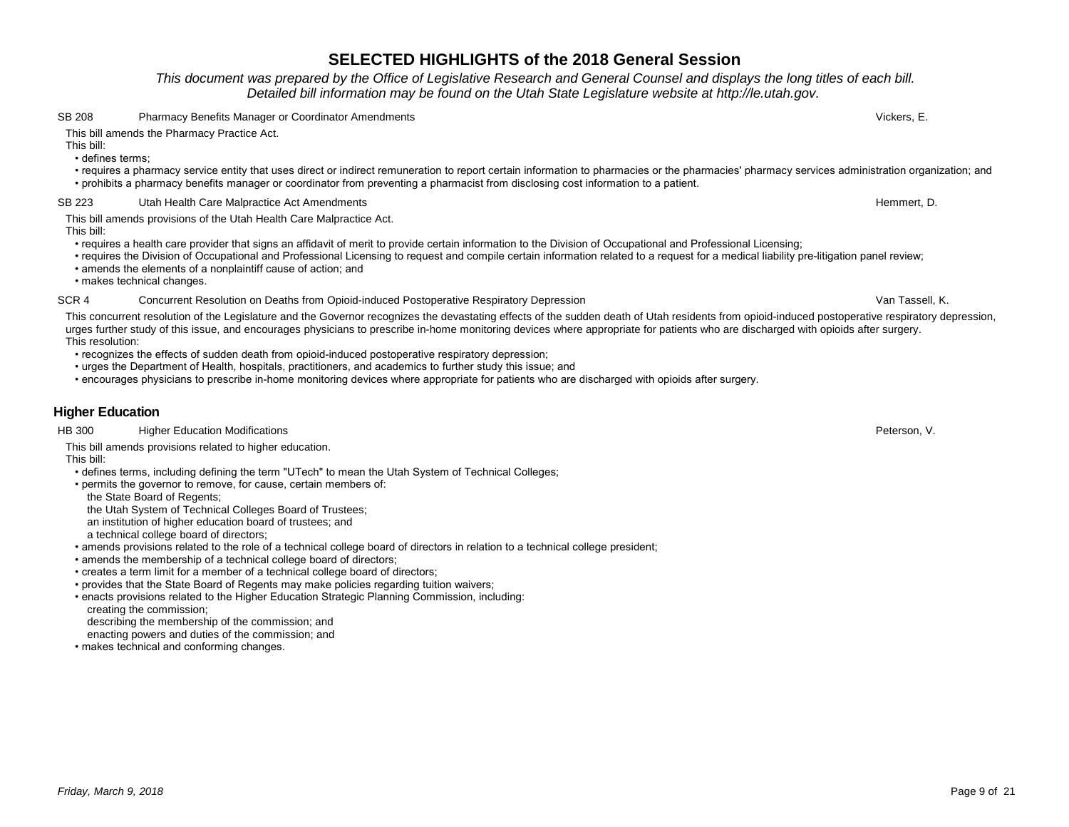### *This document was prepared by the Office of Legislative Research and General Counsel and displays the long titles of each bill. Detailed bill information may be found on the Utah State Legislature website at http://le.utah.gov.*

#### SB 208 Pharmacy Benefits Manager or Coordinator Amendments **Pharmacy Benefits Wickers, E.** Wickers, E.

### This bill amends the Pharmacy Practice Act.

This bill:

• defines terms;

 • requires a pharmacy service entity that uses direct or indirect remuneration to report certain information to pharmacies or the pharmacies' pharmacy services administration organization; and • prohibits a pharmacy benefits manager or coordinator from preventing a pharmacist from disclosing cost information to a patient.

### SB 223 Utah Health Care Malpractice Act Amendments Hemmert, D. Sales Hemmert, D. Hemmert, D.

This bill amends provisions of the Utah Health Care Malpractice Act. This bill:

- requires a health care provider that signs an affidavit of merit to provide certain information to the Division of Occupational and Professional Licensing;
- requires the Division of Occupational and Professional Licensing to request and compile certain information related to a request for a medical liability pre-litigation panel review;
- amends the elements of a nonplaintiff cause of action; and

• makes technical changes.

#### SCR 4 Concurrent Resolution on Deaths from Opioid-induced Postoperative Respiratory Depression Van Tassell, K.

This concurrent resolution of the Legislature and the Governor recognizes the devastating effects of the sudden death of Utah residents from opioid-induced postoperative respiratory depression, urges further study of this issue, and encourages physicians to prescribe in-home monitoring devices where appropriate for patients who are discharged with opioids after surgery. This resolution:

• recognizes the effects of sudden death from opioid-induced postoperative respiratory depression;

- urges the Department of Health, hospitals, practitioners, and academics to further study this issue; and
- encourages physicians to prescribe in-home monitoring devices where appropriate for patients who are discharged with opioids after surgery.

### **Higher Education**

#### HB 300 Higher Education Modifications **Example 2018** Hotel and the state of the state of the state of the state of the state of the state of the state of the state of the state of the state of the state of the state of the

This bill amends provisions related to higher education.

This bill:

- defines terms, including defining the term "UTech" to mean the Utah System of Technical Colleges;
- permits the governor to remove, for cause, certain members of:

the State Board of Regents;

the Utah System of Technical Colleges Board of Trustees;

an institution of higher education board of trustees; and

a technical college board of directors;

• amends provisions related to the role of a technical college board of directors in relation to a technical college president;

- amends the membership of a technical college board of directors;
- creates a term limit for a member of a technical college board of directors;
- provides that the State Board of Regents may make policies regarding tuition waivers;
- enacts provisions related to the Higher Education Strategic Planning Commission, including: creating the commission;

describing the membership of the commission; and

enacting powers and duties of the commission; and

• makes technical and conforming changes.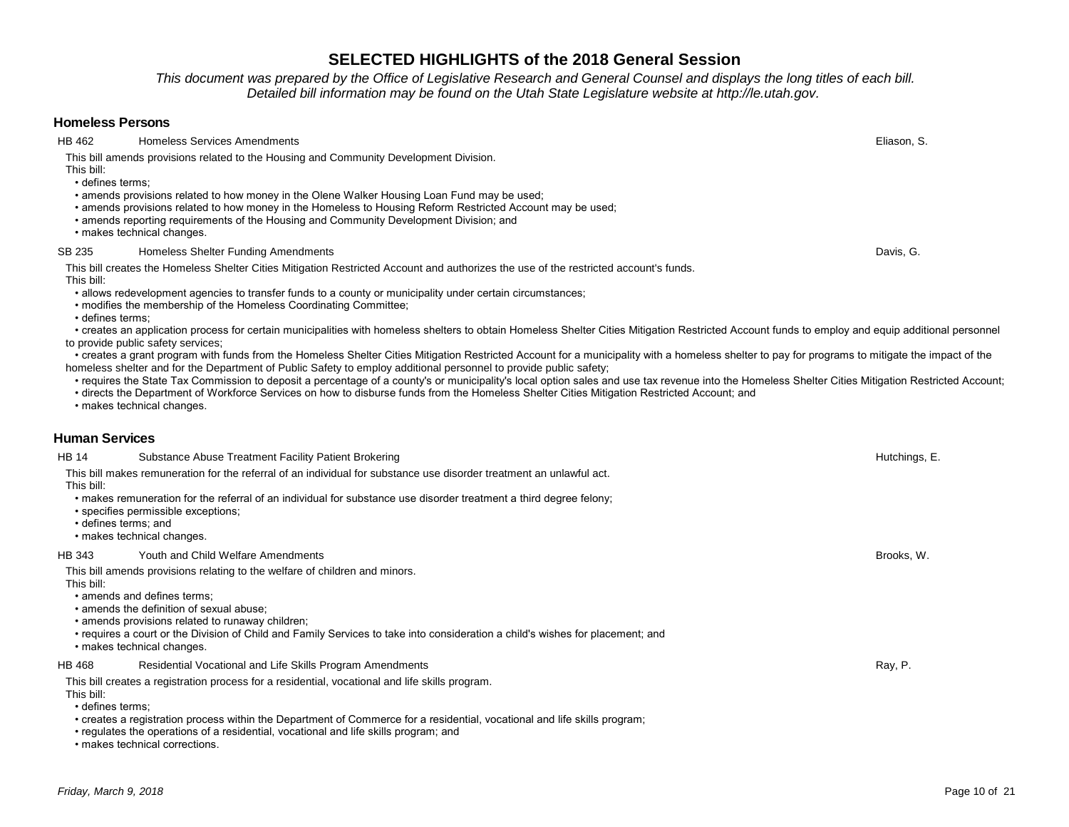*This document was prepared by the Office of Legislative Research and General Counsel and displays the long titles of each bill. Detailed bill information may be found on the Utah State Legislature website at http://le.utah.gov.* 

### **Homeless Persons**

HB 462 Homeless Services Amendments **Eliason, S.** Eliason, S. Eliason, S. Eliason, S. Eliason, S. Eliason, S.

This bill amends provisions related to the Housing and Community Development Division.

This bill: • defines terms;

• amends provisions related to how money in the Olene Walker Housing Loan Fund may be used;

- amends provisions related to how money in the Homeless to Housing Reform Restricted Account may be used;
- amends reporting requirements of the Housing and Community Development Division; and

• makes technical changes.

#### SB 235 Homeless Shelter Funding Amendments **Example 2018** 2018, G. American Shelter Funding Amendments Davis, G.

This bill creates the Homeless Shelter Cities Mitigation Restricted Account and authorizes the use of the restricted account's funds. This bill:

• allows redevelopment agencies to transfer funds to a county or municipality under certain circumstances;

• modifies the membership of the Homeless Coordinating Committee;

• defines terms;

 • creates an application process for certain municipalities with homeless shelters to obtain Homeless Shelter Cities Mitigation Restricted Account funds to employ and equip additional personnel to provide public safety services;

 • creates a grant program with funds from the Homeless Shelter Cities Mitigation Restricted Account for a municipality with a homeless shelter to pay for programs to mitigate the impact of the homeless shelter and for the Department of Public Safety to employ additional personnel to provide public safety;

- requires the State Tax Commission to deposit a percentage of a county's or municipality's local option sales and use tax revenue into the Homeless Shelter Cities Mitigation Restricted Account;
- directs the Department of Workforce Services on how to disburse funds from the Homeless Shelter Cities Mitigation Restricted Account; and

• makes technical changes.

### **Human Services**

| HB 14                              | Substance Abuse Treatment Facility Patient Brokering                                                                                                                                                                                                                                                                                                                       | Hutchings, E. |
|------------------------------------|----------------------------------------------------------------------------------------------------------------------------------------------------------------------------------------------------------------------------------------------------------------------------------------------------------------------------------------------------------------------------|---------------|
| This bill:<br>• defines terms: and | This bill makes remuneration for the referral of an individual for substance use disorder treatment an unlawful act.<br>• makes remuneration for the referral of an individual for substance use disorder treatment a third degree felony;<br>• specifies permissible exceptions;<br>• makes technical changes.                                                            |               |
| HB 343                             | Youth and Child Welfare Amendments                                                                                                                                                                                                                                                                                                                                         | Brooks, W.    |
| This bill:                         | This bill amends provisions relating to the welfare of children and minors.<br>• amends and defines terms;<br>• amends the definition of sexual abuse:<br>• amends provisions related to runaway children;<br>• requires a court or the Division of Child and Family Services to take into consideration a child's wishes for placement; and<br>• makes technical changes. |               |
| HB 468                             | Residential Vocational and Life Skills Program Amendments                                                                                                                                                                                                                                                                                                                  | Ray, P.       |
| This bill:<br>• defines terms:     | This bill creates a registration process for a residential, vocational and life skills program.<br>• creates a registration process within the Department of Commerce for a residential, vocational and life skills program;<br>• regulates the operations of a residential, vocational and life skills program; and                                                       |               |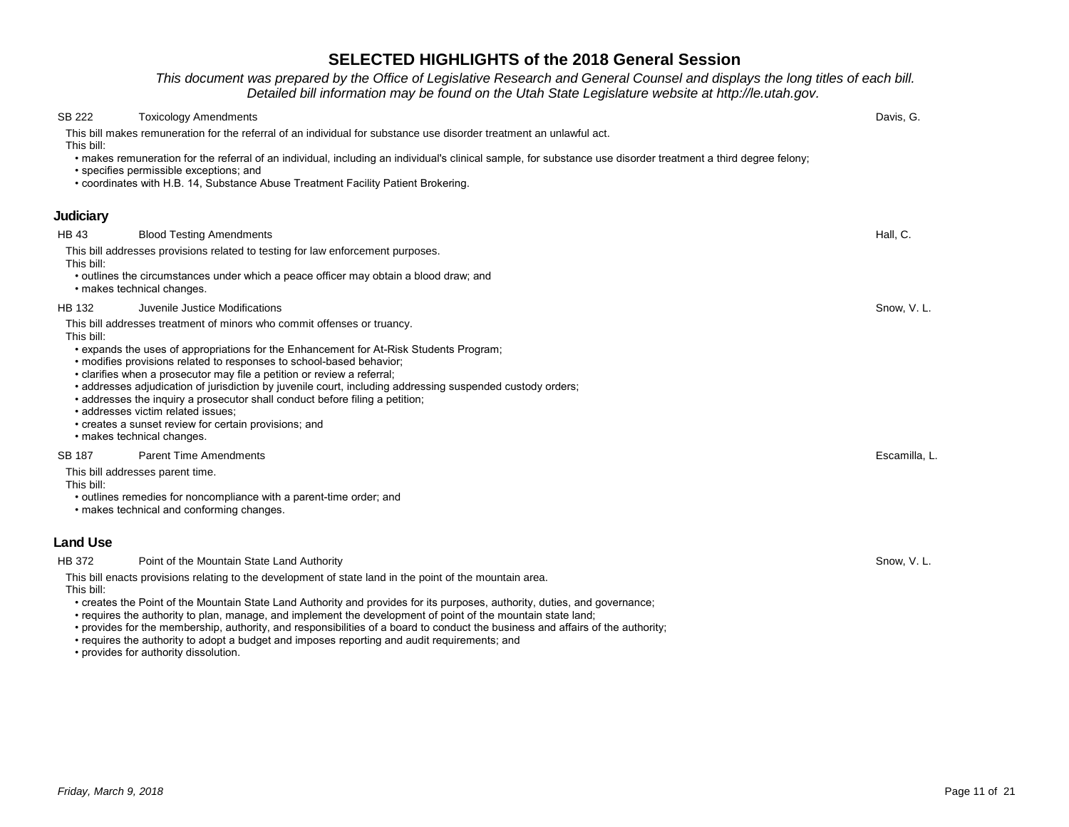*This document was prepared by the Office of Legislative Research and General Counsel and displays the long titles of each bill. Detailed bill information may be found on the Utah State Legislature website at http://le.utah.gov.* 

| SB 222                      | <b>Toxicology Amendments</b>                                                                                                                                                                                                                                                                                                                                                                                                                                                                                                                                                                                                                    | Davis, G.    |
|-----------------------------|-------------------------------------------------------------------------------------------------------------------------------------------------------------------------------------------------------------------------------------------------------------------------------------------------------------------------------------------------------------------------------------------------------------------------------------------------------------------------------------------------------------------------------------------------------------------------------------------------------------------------------------------------|--------------|
| This bill:                  | This bill makes remuneration for the referral of an individual for substance use disorder treatment an unlawful act.                                                                                                                                                                                                                                                                                                                                                                                                                                                                                                                            |              |
|                             | • makes remuneration for the referral of an individual, including an individual's clinical sample, for substance use disorder treatment a third degree felony;<br>• specifies permissible exceptions; and<br>• coordinates with H.B. 14, Substance Abuse Treatment Facility Patient Brokering.                                                                                                                                                                                                                                                                                                                                                  |              |
| Judiciary                   |                                                                                                                                                                                                                                                                                                                                                                                                                                                                                                                                                                                                                                                 |              |
| <b>HB 43</b>                | <b>Blood Testing Amendments</b>                                                                                                                                                                                                                                                                                                                                                                                                                                                                                                                                                                                                                 | Hall, C.     |
| This bill:                  | This bill addresses provisions related to testing for law enforcement purposes.                                                                                                                                                                                                                                                                                                                                                                                                                                                                                                                                                                 |              |
|                             | • outlines the circumstances under which a peace officer may obtain a blood draw; and<br>• makes technical changes.                                                                                                                                                                                                                                                                                                                                                                                                                                                                                                                             |              |
| HB 132                      | Juvenile Justice Modifications                                                                                                                                                                                                                                                                                                                                                                                                                                                                                                                                                                                                                  | Snow, V.L.   |
| This bill:                  | This bill addresses treatment of minors who commit offenses or truancy.<br>• expands the uses of appropriations for the Enhancement for At-Risk Students Program;<br>. modifies provisions related to responses to school-based behavior;<br>• clarifies when a prosecutor may file a petition or review a referral;<br>• addresses adjudication of jurisdiction by juvenile court, including addressing suspended custody orders;<br>• addresses the inquiry a prosecutor shall conduct before filing a petition;<br>· addresses victim related issues;<br>• creates a sunset review for certain provisions; and<br>• makes technical changes. |              |
| <b>SB 187</b><br>This bill: | <b>Parent Time Amendments</b><br>This bill addresses parent time.<br>• outlines remedies for noncompliance with a parent-time order; and<br>• makes technical and conforming changes.                                                                                                                                                                                                                                                                                                                                                                                                                                                           | Escamilla, L |
| <b>Land Use</b>             |                                                                                                                                                                                                                                                                                                                                                                                                                                                                                                                                                                                                                                                 |              |
| <b>HB 372</b>               | Point of the Mountain State Land Authority                                                                                                                                                                                                                                                                                                                                                                                                                                                                                                                                                                                                      | Snow. V. L.  |
| This bill:                  | This bill enacts provisions relating to the development of state land in the point of the mountain area.                                                                                                                                                                                                                                                                                                                                                                                                                                                                                                                                        |              |

- creates the Point of the Mountain State Land Authority and provides for its purposes, authority, duties, and governance;
- requires the authority to plan, manage, and implement the development of point of the mountain state land;
- provides for the membership, authority, and responsibilities of a board to conduct the business and affairs of the authority;
- requires the authority to adopt a budget and imposes reporting and audit requirements; and
- provides for authority dissolution.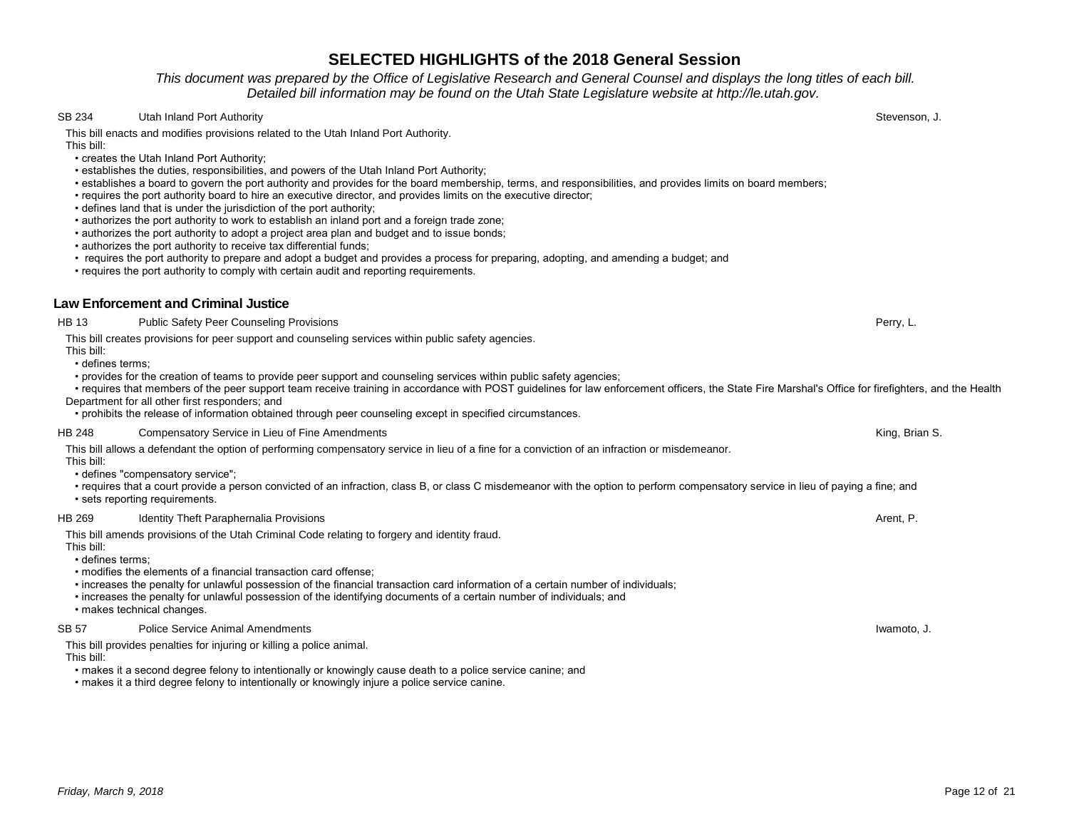*This document was prepared by the Office of Legislative Research and General Counsel and displays the long titles of each bill. Detailed bill information may be found on the Utah State Legislature website at http://le.utah.gov.* 

### SB 234 Utah Inland Port Authority Stevenson, J.

This bill enacts and modifies provisions related to the Utah Inland Port Authority. This bill:

- creates the Utah Inland Port Authority;
- establishes the duties, responsibilities, and powers of the Utah Inland Port Authority;
- establishes a board to govern the port authority and provides for the board membership, terms, and responsibilities, and provides limits on board members;
- requires the port authority board to hire an executive director, and provides limits on the executive director;
- defines land that is under the jurisdiction of the port authority;
- authorizes the port authority to work to establish an inland port and a foreign trade zone;
- authorizes the port authority to adopt a project area plan and budget and to issue bonds;
- authorizes the port authority to receive tax differential funds;
- requires the port authority to prepare and adopt a budget and provides a process for preparing, adopting, and amending a budget; and
- requires the port authority to comply with certain audit and reporting requirements.

### **Law Enforcement and Criminal Justice**

HB 13 Public Safety Peer Counseling Provisions **Perry, L.** Perry, L. Perry, L. Perry, L. Perry, L. Perry, L. Perry, L.

#### This bill creates provisions for peer support and counseling services within public safety agencies.

This bill: • defines terms;

- provides for the creation of teams to provide peer support and counseling services within public safety agencies;
- requires that members of the peer support team receive training in accordance with POST guidelines for law enforcement officers, the State Fire Marshal's Office for firefighters, and the Health Department for all other first responders; and
- prohibits the release of information obtained through peer counseling except in specified circumstances.

#### HB 248 Compensatory Service in Lieu of Fine Amendments **Company** Service in Lieu of Fine Amendments King, Brian S.

This bill allows a defendant the option of performing compensatory service in lieu of a fine for a conviction of an infraction or misdemeanor.

- This bill:
- defines "compensatory service";
- requires that a court provide a person convicted of an infraction, class B, or class C misdemeanor with the option to perform compensatory service in lieu of paying a fine; and • sets reporting requirements.

#### HB 269 Identity Theft Paraphernalia Provisions Arent, P. Arent, P. Arent, P. Arent, P. Arent, P. Arent, P.

This bill amends provisions of the Utah Criminal Code relating to forgery and identity fraud.

- This bill:
- defines terms;
- modifies the elements of a financial transaction card offense;
- increases the penalty for unlawful possession of the financial transaction card information of a certain number of individuals;
- increases the penalty for unlawful possession of the identifying documents of a certain number of individuals; and
- makes technical changes.

#### SB 57 Police Service Animal Amendments **Internal Amendments** Internal American Control of the Service Animal Amendments **Iwamoto, J.** Iwamoto, J.

This bill provides penalties for injuring or killing a police animal.

- This bill:
- makes it a second degree felony to intentionally or knowingly cause death to a police service canine; and
- makes it a third degree felony to intentionally or knowingly injure a police service canine.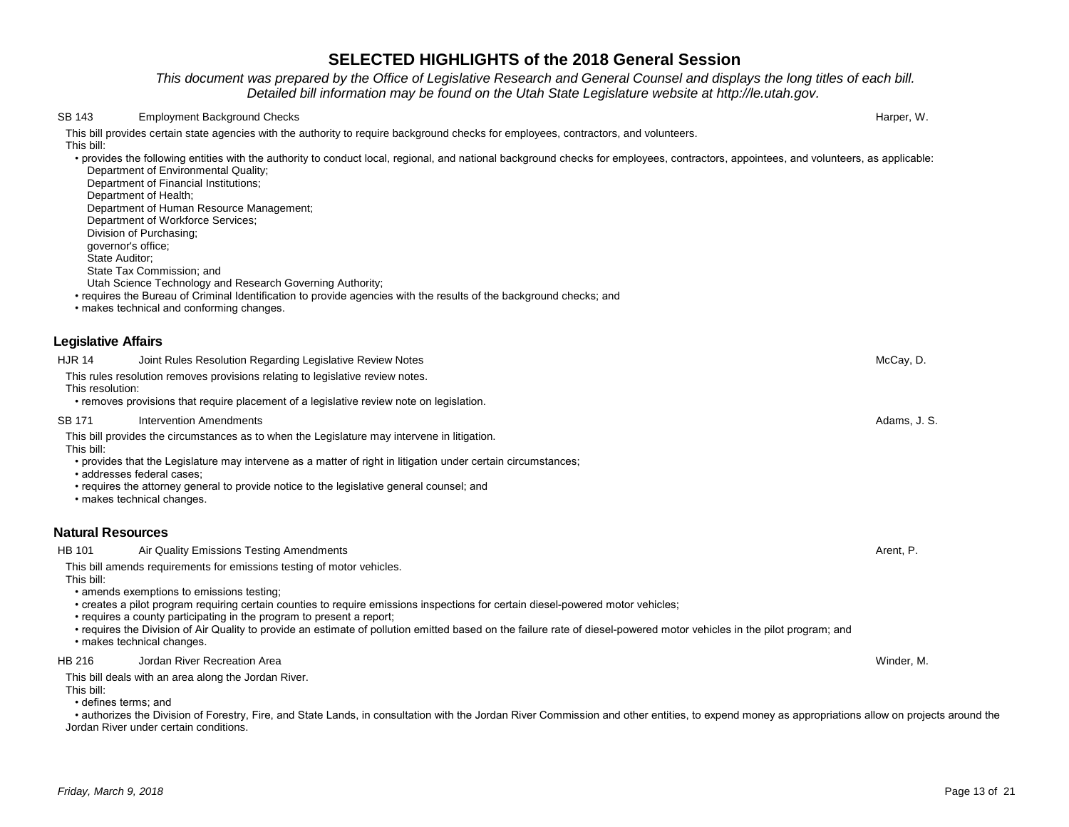*This document was prepared by the Office of Legislative Research and General Counsel and displays the long titles of each bill. Detailed bill information may be found on the Utah State Legislature website at http://le.utah.gov.* 

| SB 143           | <b>Employment Background Checks</b>                                                                                                                                                                                                                                                                                                                                                                                                                                                                                                       | Harper, W.   |
|------------------|-------------------------------------------------------------------------------------------------------------------------------------------------------------------------------------------------------------------------------------------------------------------------------------------------------------------------------------------------------------------------------------------------------------------------------------------------------------------------------------------------------------------------------------------|--------------|
| This bill:       | This bill provides certain state agencies with the authority to require background checks for employees, contractors, and volunteers.                                                                                                                                                                                                                                                                                                                                                                                                     |              |
|                  | • provides the following entities with the authority to conduct local, regional, and national background checks for employees, contractors, appointees, and volunteers, as applicable:<br>Department of Environmental Quality;<br>Department of Financial Institutions;<br>Department of Health;<br>Department of Human Resource Management;<br>Department of Workforce Services;<br>Division of Purchasing;<br>governor's office;<br>State Auditor;<br>State Tax Commission; and                                                         |              |
|                  | Utah Science Technology and Research Governing Authority;<br>• requires the Bureau of Criminal Identification to provide agencies with the results of the background checks; and<br>• makes technical and conforming changes.                                                                                                                                                                                                                                                                                                             |              |
|                  | <b>Legislative Affairs</b>                                                                                                                                                                                                                                                                                                                                                                                                                                                                                                                |              |
| <b>HJR 14</b>    | Joint Rules Resolution Regarding Legislative Review Notes                                                                                                                                                                                                                                                                                                                                                                                                                                                                                 | McCay, D.    |
| This resolution: | This rules resolution removes provisions relating to legislative review notes.<br>• removes provisions that require placement of a legislative review note on legislation.                                                                                                                                                                                                                                                                                                                                                                |              |
| SB 171           | Intervention Amendments                                                                                                                                                                                                                                                                                                                                                                                                                                                                                                                   | Adams, J. S. |
| This bill:       | This bill provides the circumstances as to when the Legislature may intervene in litigation.                                                                                                                                                                                                                                                                                                                                                                                                                                              |              |
|                  | • provides that the Legislature may intervene as a matter of right in litigation under certain circumstances;<br>• addresses federal cases;<br>• requires the attorney general to provide notice to the legislative general counsel; and<br>• makes technical changes.                                                                                                                                                                                                                                                                    |              |
|                  | <b>Natural Resources</b>                                                                                                                                                                                                                                                                                                                                                                                                                                                                                                                  |              |
| HB 101           | Air Quality Emissions Testing Amendments                                                                                                                                                                                                                                                                                                                                                                                                                                                                                                  | Arent, P.    |
| This bill:       | This bill amends requirements for emissions testing of motor vehicles.<br>• amends exemptions to emissions testing;<br>• creates a pilot program requiring certain counties to require emissions inspections for certain diesel-powered motor vehicles;<br>• requires a county participating in the program to present a report;<br>• requires the Division of Air Quality to provide an estimate of pollution emitted based on the failure rate of diesel-powered motor vehicles in the pilot program; and<br>· makes technical changes. |              |
| <b>HB 216</b>    | Jordan River Recreation Area                                                                                                                                                                                                                                                                                                                                                                                                                                                                                                              | Winder, M.   |
| This bill:       | This bill deals with an area along the Jordan River.<br>• defines terms; and<br>• authorizes the Division of Forestry, Fire, and State Lands, in consultation with the Jordan River Commission and other entities, to expend money as appropriations allow on projects around the<br>Jordan River under certain conditions.                                                                                                                                                                                                               |              |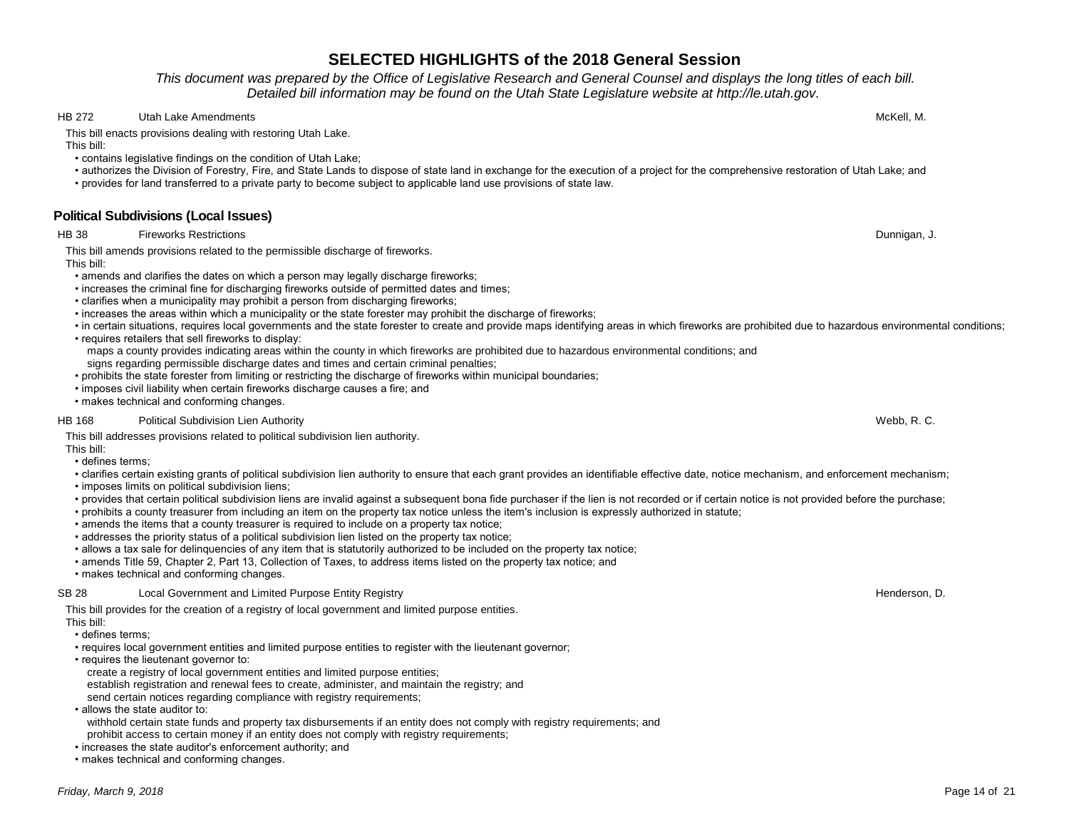*This document was prepared by the Office of Legislative Research and General Counsel and displays the long titles of each bill. Detailed bill information may be found on the Utah State Legislature website at http://le.utah.gov.* 

### HB 272 Utah Lake Amendments **McKell, M. 2006** Utah Lake Amendments McKell, M. 2007 Utah Lake Amendments McKell, M

This bill enacts provisions dealing with restoring Utah Lake.

This bill:

- contains legislative findings on the condition of Utah Lake;
- authorizes the Division of Forestry, Fire, and State Lands to dispose of state land in exchange for the execution of a project for the comprehensive restoration of Utah Lake; and
- provides for land transferred to a private party to become subject to applicable land use provisions of state law.

# **Political Subdivisions (Local Issues)**

HB 38 Fireworks Restrictions **Fireworks Restrictions** of the control of the control of the control of the control of the control of the control of the control of the control of the control of the control of the control of

This bill amends provisions related to the permissible discharge of fireworks. This bill:

- amends and clarifies the dates on which a person may legally discharge fireworks;
- increases the criminal fine for discharging fireworks outside of permitted dates and times;
- clarifies when a municipality may prohibit a person from discharging fireworks;
- increases the areas within which a municipality or the state forester may prohibit the discharge of fireworks;
- in certain situations, requires local governments and the state forester to create and provide maps identifying areas in which fireworks are prohibited due to hazardous environmental conditions;
- requires retailers that sell fireworks to display:

 maps a county provides indicating areas within the county in which fireworks are prohibited due to hazardous environmental conditions; and signs regarding permissible discharge dates and times and certain criminal penalties;

- prohibits the state forester from limiting or restricting the discharge of fireworks within municipal boundaries;
- imposes civil liability when certain fireworks discharge causes a fire; and
- makes technical and conforming changes.

### HB 168 Political Subdivision Lien Authority **National Subdivision Lien Authority** Webb, R. C.

This bill addresses provisions related to political subdivision lien authority.

This bill:

- defines terms;
- clarifies certain existing grants of political subdivision lien authority to ensure that each grant provides an identifiable effective date, notice mechanism, and enforcement mechanism;
- imposes limits on political subdivision liens;
- provides that certain political subdivision liens are invalid against a subsequent bona fide purchaser if the lien is not recorded or if certain notice is not provided before the purchase;
- prohibits a county treasurer from including an item on the property tax notice unless the item's inclusion is expressly authorized in statute;
- amends the items that a county treasurer is required to include on a property tax notice;
- addresses the priority status of a political subdivision lien listed on the property tax notice;
- allows a tax sale for delinquencies of any item that is statutorily authorized to be included on the property tax notice;
- amends Title 59, Chapter 2, Part 13, Collection of Taxes, to address items listed on the property tax notice; and
- makes technical and conforming changes.

### SB 28 Local Government and Limited Purpose Entity Registry **Henderson, D.** And The State of the State of the State of the State of the State of the Henderson, D.

This bill provides for the creation of a registry of local government and limited purpose entities. This bill:

- defines terms;
- requires local government entities and limited purpose entities to register with the lieutenant governor;
- requires the lieutenant governor to:
- create a registry of local government entities and limited purpose entities;
- establish registration and renewal fees to create, administer, and maintain the registry; and

send certain notices regarding compliance with registry requirements;

• allows the state auditor to:

 withhold certain state funds and property tax disbursements if an entity does not comply with registry requirements; and prohibit access to certain money if an entity does not comply with registry requirements;

- increases the state auditor's enforcement authority; and
- makes technical and conforming changes.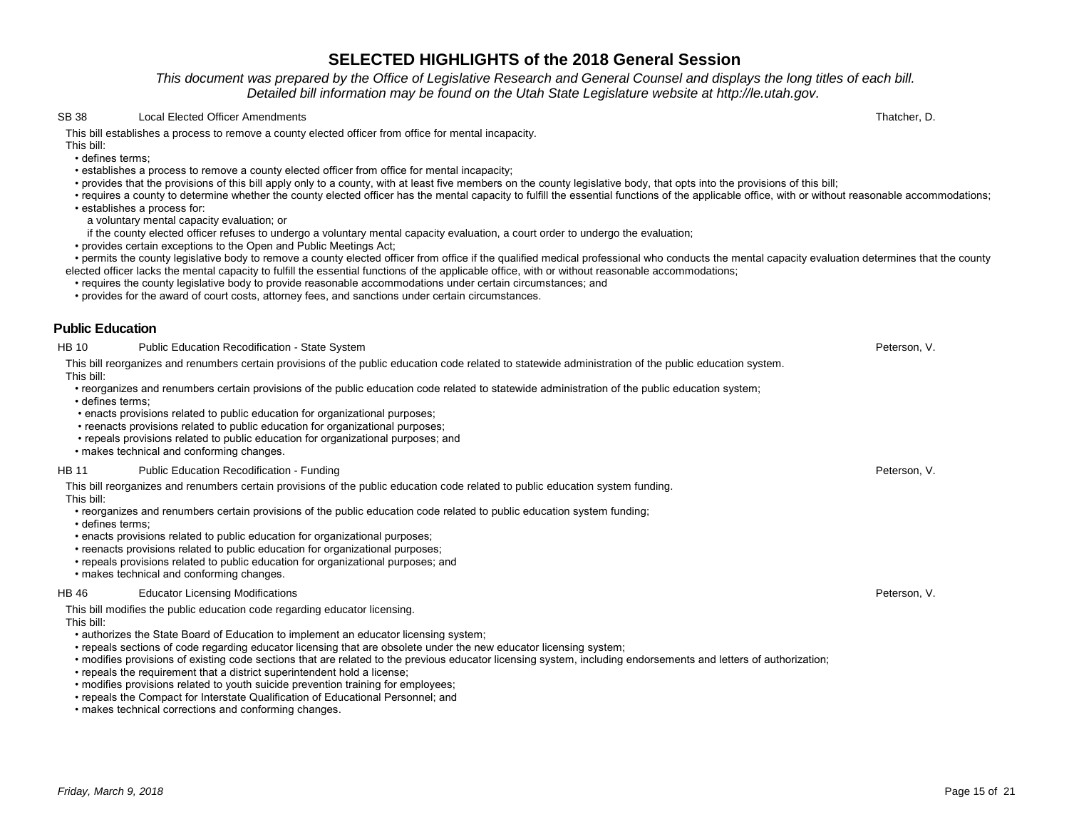*This document was prepared by the Office of Legislative Research and General Counsel and displays the long titles of each bill. Detailed bill information may be found on the Utah State Legislature website at http://le.utah.gov.* 

#### SB 38 Local Elected Officer Amendments **Thatcher, D.** SB 38 Local Elected Officer Amendments **Thatcher**, D.

This bill establishes a process to remove a county elected officer from office for mental incapacity.

This bill: • defines terms;

- establishes a process to remove a county elected officer from office for mental incapacity;
- provides that the provisions of this bill apply only to a county, with at least five members on the county legislative body, that opts into the provisions of this bill;
- requires a county to determine whether the county elected officer has the mental capacity to fulfill the essential functions of the applicable office, with or without reasonable accommodations;
- establishes a process for:
- a voluntary mental capacity evaluation; or
- if the county elected officer refuses to undergo a voluntary mental capacity evaluation, a court order to undergo the evaluation;
- provides certain exceptions to the Open and Public Meetings Act;

 • permits the county legislative body to remove a county elected officer from office if the qualified medical professional who conducts the mental capacity evaluation determines that the county elected officer lacks the mental capacity to fulfill the essential functions of the applicable office, with or without reasonable accommodations;

- requires the county legislative body to provide reasonable accommodations under certain circumstances; and
- provides for the award of court costs, attorney fees, and sanctions under certain circumstances.

### **Public Education**

#### HB 10 Public Education Recodification - State System **Peterson, V. And The Contract Contract Contract Contract Contract Contract Contract Contract Peterson, V.**

This bill reorganizes and renumbers certain provisions of the public education code related to statewide administration of the public education system. This bill:

- reorganizes and renumbers certain provisions of the public education code related to statewide administration of the public education system;
- defines terms;
- enacts provisions related to public education for organizational purposes;
- reenacts provisions related to public education for organizational purposes;
- repeals provisions related to public education for organizational purposes; and
- makes technical and conforming changes.

#### HB 11 Public Education Recodification - Funding Peterson, V. Peterson, V. Peterson, V. Peterson, V. Peterson, V

This bill reorganizes and renumbers certain provisions of the public education code related to public education system funding. This bill:

- reorganizes and renumbers certain provisions of the public education code related to public education system funding;
- defines terms;
- enacts provisions related to public education for organizational purposes;
- reenacts provisions related to public education for organizational purposes;
- repeals provisions related to public education for organizational purposes; and
- makes technical and conforming changes.

#### HB 46 Educator Licensing Modifications Peterson, V.

This bill modifies the public education code regarding educator licensing. This bill:

- authorizes the State Board of Education to implement an educator licensing system;
- repeals sections of code regarding educator licensing that are obsolete under the new educator licensing system;
- modifies provisions of existing code sections that are related to the previous educator licensing system, including endorsements and letters of authorization;
- repeals the requirement that a district superintendent hold a license;
- modifies provisions related to youth suicide prevention training for employees;
- repeals the Compact for Interstate Qualification of Educational Personnel; and
- makes technical corrections and conforming changes.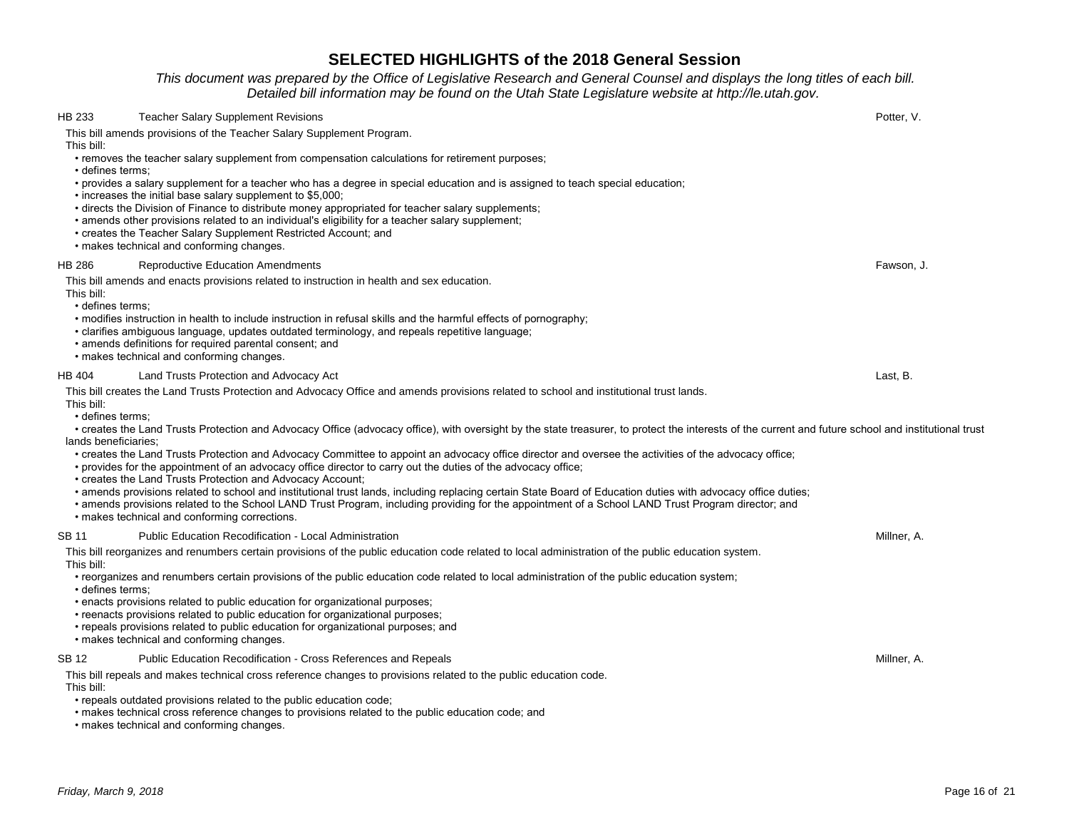*This document was prepared by the Office of Legislative Research and General Counsel and displays the long titles of each bill. Detailed bill information may be found on the Utah State Legislature website at http://le.utah.gov.* 

| HB 233     | <b>Teacher Salary Supplement Revisions</b>                                                                                                                                                                                                                                                                                                                                                                                                                                                                                                                                                                                                                                                                                                                                                                                                                                                           | Potter, V.  |
|------------|------------------------------------------------------------------------------------------------------------------------------------------------------------------------------------------------------------------------------------------------------------------------------------------------------------------------------------------------------------------------------------------------------------------------------------------------------------------------------------------------------------------------------------------------------------------------------------------------------------------------------------------------------------------------------------------------------------------------------------------------------------------------------------------------------------------------------------------------------------------------------------------------------|-------------|
| This bill: | This bill amends provisions of the Teacher Salary Supplement Program.<br>• removes the teacher salary supplement from compensation calculations for retirement purposes;<br>· defines terms;<br>• provides a salary supplement for a teacher who has a degree in special education and is assigned to teach special education;<br>. increases the initial base salary supplement to \$5,000;                                                                                                                                                                                                                                                                                                                                                                                                                                                                                                         |             |
|            | • directs the Division of Finance to distribute money appropriated for teacher salary supplements;<br>• amends other provisions related to an individual's eligibility for a teacher salary supplement;<br>• creates the Teacher Salary Supplement Restricted Account; and<br>• makes technical and conforming changes.                                                                                                                                                                                                                                                                                                                                                                                                                                                                                                                                                                              |             |
| HB 286     | <b>Reproductive Education Amendments</b>                                                                                                                                                                                                                                                                                                                                                                                                                                                                                                                                                                                                                                                                                                                                                                                                                                                             | Fawson, J.  |
| This bill: | This bill amends and enacts provisions related to instruction in health and sex education.<br>· defines terms;<br>• modifies instruction in health to include instruction in refusal skills and the harmful effects of pornography;<br>· clarifies ambiguous language, updates outdated terminology, and repeals repetitive language;<br>• amends definitions for required parental consent; and<br>• makes technical and conforming changes.                                                                                                                                                                                                                                                                                                                                                                                                                                                        |             |
| HB 404     | Land Trusts Protection and Advocacy Act                                                                                                                                                                                                                                                                                                                                                                                                                                                                                                                                                                                                                                                                                                                                                                                                                                                              | Last, B.    |
| This bill: | This bill creates the Land Trusts Protection and Advocacy Office and amends provisions related to school and institutional trust lands.<br>• defines terms:<br>• creates the Land Trusts Protection and Advocacy Office (advocacy office), with oversight by the state treasurer, to protect the interests of the current and future school and institutional trust<br>lands beneficiaries:<br>• creates the Land Trusts Protection and Advocacy Committee to appoint an advocacy office director and oversee the activities of the advocacy office;<br>• provides for the appointment of an advocacy office director to carry out the duties of the advocacy office;<br>• creates the Land Trusts Protection and Advocacy Account;<br>• amends provisions related to school and institutional trust lands, including replacing certain State Board of Education duties with advocacy office duties; |             |
|            | • amends provisions related to the School LAND Trust Program, including providing for the appointment of a School LAND Trust Program director; and<br>• makes technical and conforming corrections.                                                                                                                                                                                                                                                                                                                                                                                                                                                                                                                                                                                                                                                                                                  |             |
| SB 11      | <b>Public Education Recodification - Local Administration</b>                                                                                                                                                                                                                                                                                                                                                                                                                                                                                                                                                                                                                                                                                                                                                                                                                                        | Millner, A. |
| This bill: | This bill reorganizes and renumbers certain provisions of the public education code related to local administration of the public education system.<br>• reorganizes and renumbers certain provisions of the public education code related to local administration of the public education system;<br>• defines terms:<br>. enacts provisions related to public education for organizational purposes;<br>• reenacts provisions related to public education for organizational purposes;<br>• repeals provisions related to public education for organizational purposes; and<br>• makes technical and conforming changes.                                                                                                                                                                                                                                                                           |             |
| SB 12      | Public Education Recodification - Cross References and Repeals                                                                                                                                                                                                                                                                                                                                                                                                                                                                                                                                                                                                                                                                                                                                                                                                                                       | Millner, A. |
| This bill: | This bill repeals and makes technical cross reference changes to provisions related to the public education code.<br>• repeals outdated provisions related to the public education code;<br>• makes technical cross reference changes to provisions related to the public education code; and                                                                                                                                                                                                                                                                                                                                                                                                                                                                                                                                                                                                        |             |

• makes technical and conforming changes.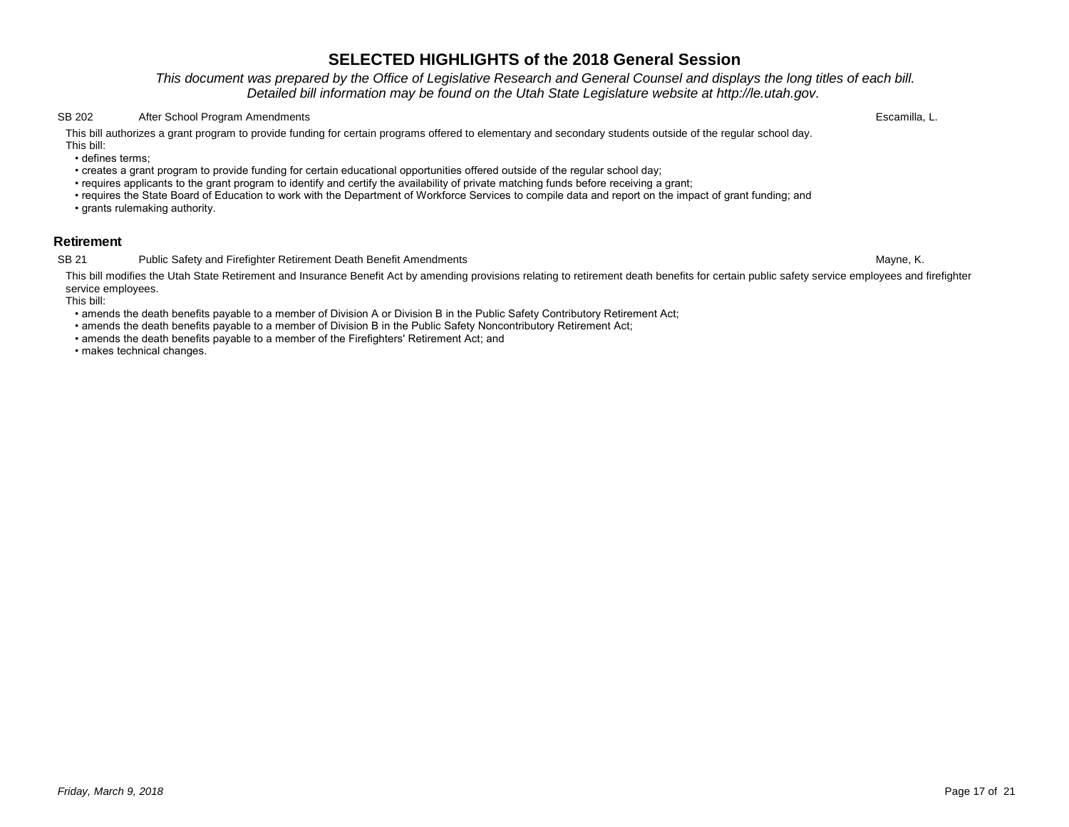*This document was prepared by the Office of Legislative Research and General Counsel and displays the long titles of each bill. Detailed bill information may be found on the Utah State Legislature website at http://le.utah.gov.* 

#### SB 202 After School Program Amendments Escamilla, L.

This bill authorizes a grant program to provide funding for certain programs offered to elementary and secondary students outside of the regular school day. This bill:

• defines terms;

- creates a grant program to provide funding for certain educational opportunities offered outside of the regular school day;
- requires applicants to the grant program to identify and certify the availability of private matching funds before receiving a grant;
- requires the State Board of Education to work with the Department of Workforce Services to compile data and report on the impact of grant funding; and
- grants rulemaking authority.

### **Retirement**

#### SB 21 Public Safety and Firefighter Retirement Death Benefit Amendments **SB 2008** Public Safety and Firefighter Retirement Death Benefit Amendments

This bill modifies the Utah State Retirement and Insurance Benefit Act by amending provisions relating to retirement death benefits for certain public safety service employees and firefighter service employees.

This bill:

- amends the death benefits payable to a member of Division A or Division B in the Public Safety Contributory Retirement Act;
- amends the death benefits payable to a member of Division B in the Public Safety Noncontributory Retirement Act;
- amends the death benefits payable to a member of the Firefighters' Retirement Act; and

• makes technical changes.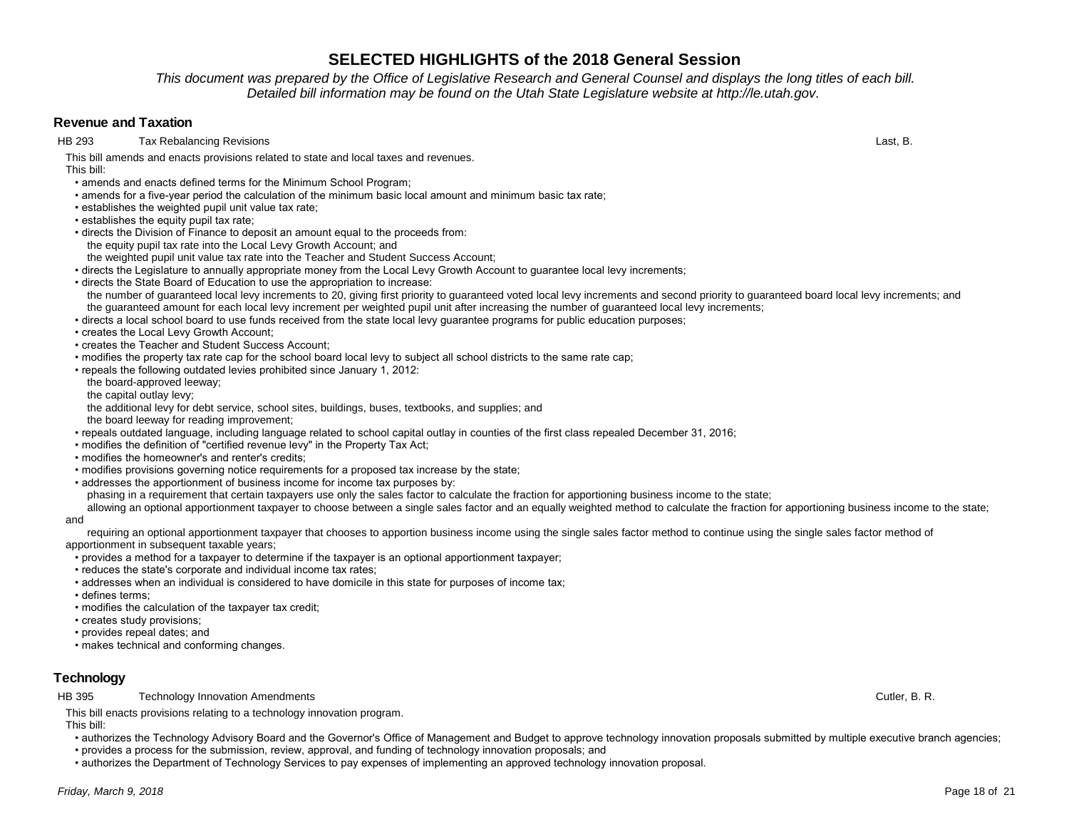*This document was prepared by the Office of Legislative Research and General Counsel and displays the long titles of each bill. Detailed bill information may be found on the Utah State Legislature website at http://le.utah.gov.* 

### **Revenue and Taxation**

HB 293 Tax Rebalancing Revisions Last, B.

This bill amends and enacts provisions related to state and local taxes and revenues. This bill:

- amends and enacts defined terms for the Minimum School Program;
- amends for a five-year period the calculation of the minimum basic local amount and minimum basic tax rate;
- establishes the weighted pupil unit value tax rate;
- establishes the equity pupil tax rate;
- directs the Division of Finance to deposit an amount equal to the proceeds from: the equity pupil tax rate into the Local Levy Growth Account; and the weighted pupil unit value tax rate into the Teacher and Student Success Account;
- directs the Legislature to annually appropriate money from the Local Levy Growth Account to guarantee local levy increments;
- directs the State Board of Education to use the appropriation to increase: the number of guaranteed local levy increments to 20, giving first priority to guaranteed voted local levy increments and second priority to guaranteed board local levy increments; and the guaranteed amount for each local levy increment per weighted pupil unit after increasing the number of guaranteed local levy increments;
- directs a local school board to use funds received from the state local levy guarantee programs for public education purposes;
- creates the Local Levy Growth Account;
- creates the Teacher and Student Success Account;
- modifies the property tax rate cap for the school board local levy to subject all school districts to the same rate cap;
- repeals the following outdated levies prohibited since January 1, 2012:
- the board-approved leeway;
- the capital outlay levy;
- the additional levy for debt service, school sites, buildings, buses, textbooks, and supplies; and
- the board leeway for reading improvement;
- repeals outdated language, including language related to school capital outlay in counties of the first class repealed December 31, 2016;
- modifies the definition of "certified revenue levy" in the Property Tax Act;
- modifies the homeowner's and renter's credits;
- modifies provisions governing notice requirements for a proposed tax increase by the state;
- addresses the apportionment of business income for income tax purposes by:

phasing in a requirement that certain taxpayers use only the sales factor to calculate the fraction for apportioning business income to the state;

allowing an optional apportionment taxpayer to choose between a single sales factor and an equally weighted method to calculate the fraction for apportioning business income to the state; and

requiring an optional apportionment taxpayer that chooses to apportion business income using the single sales factor method to continue using the single sales factor method of apportionment in subsequent taxable years;

- provides a method for a taxpayer to determine if the taxpayer is an optional apportionment taxpayer;
- reduces the state's corporate and individual income tax rates;
- addresses when an individual is considered to have domicile in this state for purposes of income tax;
- defines terms;
- modifies the calculation of the taxpayer tax credit;
- creates study provisions;
- provides repeal dates; and
- makes technical and conforming changes.

# **Technology**

HB 395 Technology Innovation Amendments **Cutler, B. R.** Cutler, B. R.

This bill enacts provisions relating to a technology innovation program. This bill:

- authorizes the Technology Advisory Board and the Governor's Office of Management and Budget to approve technology innovation proposals submitted by multiple executive branch agencies;
- provides a process for the submission, review, approval, and funding of technology innovation proposals; and
- authorizes the Department of Technology Services to pay expenses of implementing an approved technology innovation proposal.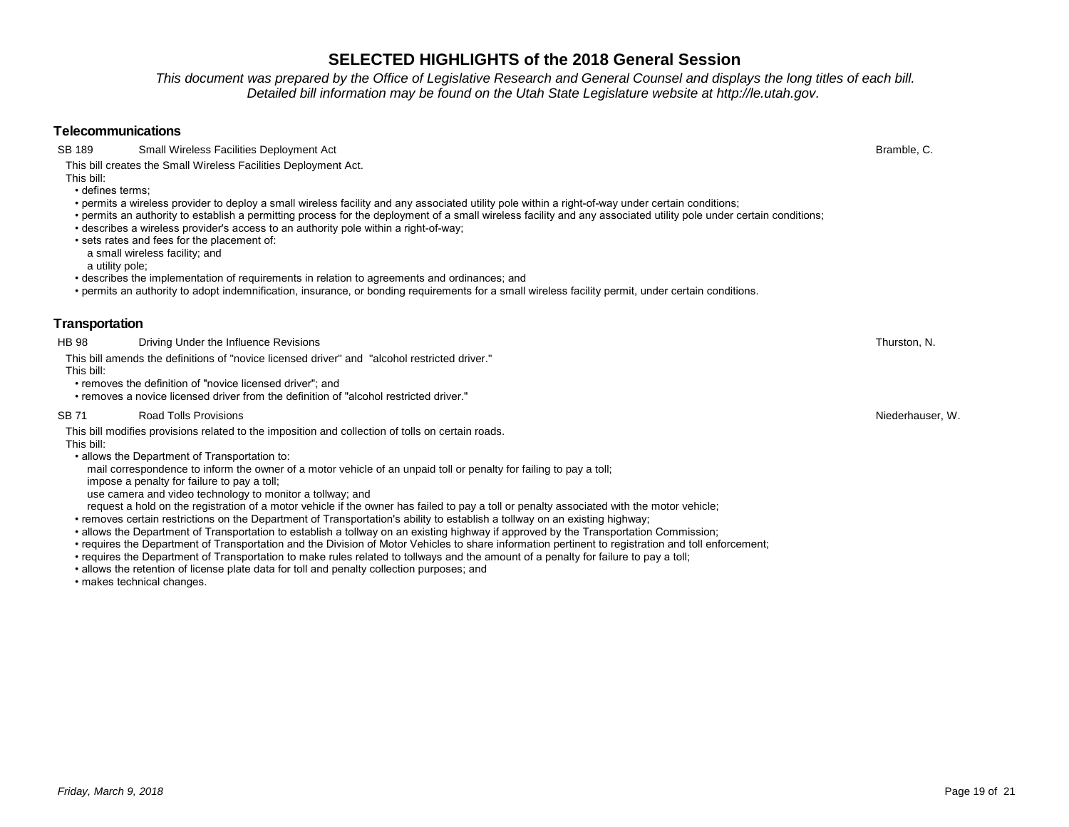- permits a wireless provider to deploy a small wireless facility and any associated utility pole within a right-of-way under certain conditions;
- permits an authority to establish a permitting process for the deployment of a small wireless facility and any associated utility pole under certain conditions;

**SELECTED HIGHLIGHTS of the 2018 General Session** *This document was prepared by the Office of Legislative Research and General Counsel and displays the long titles of each bill. Detailed bill information may be found on the Utah State Legislature website at http://le.utah.gov.* 

- describes a wireless provider's access to an authority pole within a right-of-way;
- sets rates and fees for the placement of:
- a small wireless facility; and

a utility pole;

**Telecommunications**

• defines terms;

This bill:

- describes the implementation of requirements in relation to agreements and ordinances; and
- permits an authority to adopt indemnification, insurance, or bonding requirements for a small wireless facility permit, under certain conditions.

#### **Transportation**

HB 98 Driving Under the Influence Revisions **Network Construction Construction** Thurston, N.

- This bill amends the definitions of "novice licensed driver" and "alcohol restricted driver." This bill:
	- removes the definition of "novice licensed driver"; and

This bill creates the Small Wireless Facilities Deployment Act.

• removes a novice licensed driver from the definition of "alcohol restricted driver."

#### SB 71 Road Tolls Provisions Niederhauser, W.

This bill modifies provisions related to the imposition and collection of tolls on certain roads.

This bill:

- allows the Department of Transportation to:
- mail correspondence to inform the owner of a motor vehicle of an unpaid toll or penalty for failing to pay a toll;

impose a penalty for failure to pay a toll;

use camera and video technology to monitor a tollway; and

request a hold on the registration of a motor vehicle if the owner has failed to pay a toll or penalty associated with the motor vehicle;

- removes certain restrictions on the Department of Transportation's ability to establish a tollway on an existing highway;
- allows the Department of Transportation to establish a tollway on an existing highway if approved by the Transportation Commission;
- requires the Department of Transportation and the Division of Motor Vehicles to share information pertinent to registration and toll enforcement;
- requires the Department of Transportation to make rules related to tollways and the amount of a penalty for failure to pay a toll;
- allows the retention of license plate data for toll and penalty collection purposes; and
- makes technical changes.

SB 189 Small Wireless Facilities Deployment Act **Bramble, C.** San Act Bramble, C. Bramble, C. Bramble, C. Bramble, C.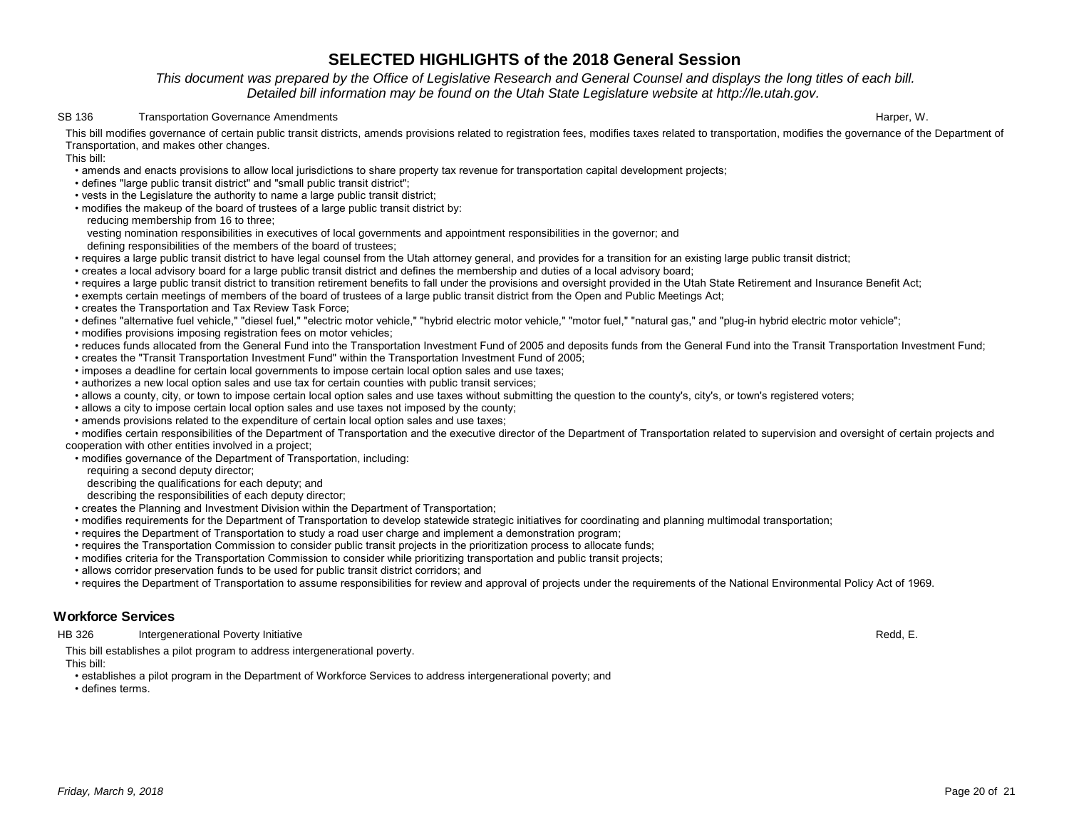### *This document was prepared by the Office of Legislative Research and General Counsel and displays the long titles of each bill. Detailed bill information may be found on the Utah State Legislature website at http://le.utah.gov.*

#### SB 136 Transportation Governance Amendments **Example 19** Transportation Governance Amendments Harper, W.

This bill modifies governance of certain public transit districts, amends provisions related to registration fees, modifies taxes related to transportation, modifies the governance of the Department of Transportation, and makes other changes.

This bill:

- amends and enacts provisions to allow local jurisdictions to share property tax revenue for transportation capital development projects;
- defines "large public transit district" and "small public transit district";
- vests in the Legislature the authority to name a large public transit district;
- modifies the makeup of the board of trustees of a large public transit district by:
- reducing membership from 16 to three;
- vesting nomination responsibilities in executives of local governments and appointment responsibilities in the governor; and
- defining responsibilities of the members of the board of trustees;
- requires a large public transit district to have legal counsel from the Utah attorney general, and provides for a transition for an existing large public transit district;
- creates a local advisory board for a large public transit district and defines the membership and duties of a local advisory board;
- requires a large public transit district to transition retirement benefits to fall under the provisions and oversight provided in the Utah State Retirement and Insurance Benefit Act;
- exempts certain meetings of members of the board of trustees of a large public transit district from the Open and Public Meetings Act;
- creates the Transportation and Tax Review Task Force;
- defines "alternative fuel vehicle," "diesel fuel," "electric motor vehicle," "hybrid electric motor vehicle," "motor fuel," "natural gas," and "plug-in hybrid electric motor vehicle";
- modifies provisions imposing registration fees on motor vehicles;
- reduces funds allocated from the General Fund into the Transportation Investment Fund of 2005 and deposits funds from the General Fund into the Transit Transportation Investment Fund;
- creates the "Transit Transportation Investment Fund" within the Transportation Investment Fund of 2005;
- imposes a deadline for certain local governments to impose certain local option sales and use taxes;
- authorizes a new local option sales and use tax for certain counties with public transit services;
- allows a county, city, or town to impose certain local option sales and use taxes without submitting the question to the county's, city's, or town's registered voters;
- allows a city to impose certain local option sales and use taxes not imposed by the county;
- amends provisions related to the expenditure of certain local option sales and use taxes;

 • modifies certain responsibilities of the Department of Transportation and the executive director of the Department of Transportation related to supervision and oversight of certain projects and cooperation with other entities involved in a project;

- modifies governance of the Department of Transportation, including:
	- requiring a second deputy director;
- describing the qualifications for each deputy; and
- describing the responsibilities of each deputy director;
- creates the Planning and Investment Division within the Department of Transportation;
- modifies requirements for the Department of Transportation to develop statewide strategic initiatives for coordinating and planning multimodal transportation;
- requires the Department of Transportation to study a road user charge and implement a demonstration program;
- requires the Transportation Commission to consider public transit projects in the prioritization process to allocate funds;
- modifies criteria for the Transportation Commission to consider while prioritizing transportation and public transit projects;
- allows corridor preservation funds to be used for public transit district corridors; and
- requires the Department of Transportation to assume responsibilities for review and approval of projects under the requirements of the National Environmental Policy Act of 1969.

### **Workforce Services**

HB 326 Intergenerational Poverty Initiative **Network Contract Contract Contract Contract Contract Contract Contract Contract Contract Contract Contract Contract Contract Contract Contract Contract Contract Contract Contrac** 

This bill establishes a pilot program to address intergenerational poverty.

This bill:

- establishes a pilot program in the Department of Workforce Services to address intergenerational poverty; and
- defines terms.